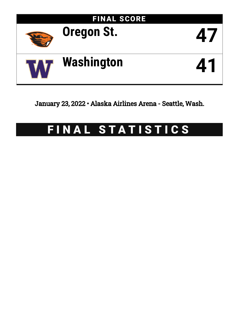

January 23, 2022 • Alaska Airlines Arena - Seattle, Wash.

# FINAL STATISTICS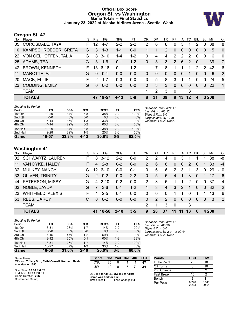# **Official Box Score Oregon St. vs Washington Game Totals -- Final Statistics January 23, 2022 at Alaska Airlines Arena - Seattle, Wash.**



# **Oregon St. 47**

| Player                | S                       | Pts           | FG       | 3FG            | FT      | OR           | <b>DR</b> | TR             | PF             |          | TO.      | <b>B</b> lk          | Stl      | Min | $+/-$          |
|-----------------------|-------------------------|---------------|----------|----------------|---------|--------------|-----------|----------------|----------------|----------|----------|----------------------|----------|-----|----------------|
| COROSDALE, TAYA       | F.                      | $12 \,$       | $4 - 7$  | $2 - 2$        | $2 - 2$ | 2            | 6         | 8              | 0              | 3        |          | 2                    | 0        | 38  | 8              |
| KAMPSCHROEDER, GRETA  | G                       | 3             | $1 - 3$  | $1 - 1$        | $0 - 0$ |              |           | $\overline{2}$ | $\Omega$       | $\Omega$ | $\Omega$ | $\Omega$             | $\Omega$ | 15  | $\Omega$       |
|                       | G                       | 8             |          | 1-4            | $1 - 2$ | 0            | 4         | 4              | $\overline{2}$ | 2        | 2        | $\Omega$             | 0        | 16  | $\mathbf 0$    |
| ADAMS, TEA            | G                       | 3             | $1 - 6$  | $0 - 1$        | $1 - 2$ | $\mathbf{0}$ | 3         | 3              | 2              | 6        | 2        | $\Omega$             | 1        | 39  | $\overline{7}$ |
| <b>BROWN, KENNEDY</b> | F.                      | 13            | $6 - 16$ | $0 - 1$        | $1 - 2$ |              | 7         | 8              | 1.             | 1        |          | $\mathbf{2}^{\circ}$ | 2        | 42  | 6              |
| MAROTTE, AJ           | G                       | $\Omega$      | $0 - 1$  | $0 - 0$        | $0 - 0$ | $\Omega$     | $\Omega$  | $\Omega$       | $\Omega$       | $\Omega$ | 1        | $\Omega$             | $\Omega$ | 6   | 2              |
| <b>MACK, ELLIE</b>    | F                       | $\mathcal{P}$ | $1 - 7$  | $0 - 3$        | $0 - 0$ | 3            | 5         | 8              | 3              |          |          | $\Omega$             | $\Omega$ | 24  | 5              |
| <b>CODDING, EMILY</b> | G                       | $\Omega$      | $0 - 2$  | $0 - 0$        | $0 - 0$ | $\Omega$     | 3         | 3              | $\Omega$       | $\Omega$ | $\Omega$ | $\Omega$             | $\Omega$ | -22 | $\overline{1}$ |
| <b>TEAM</b>           |                         |               |          |                |         | 1            | 2         | 3              | $\mathbf 0$    |          | 3        |                      |          |     |                |
| <b>TOTALS</b>         |                         | 47            |          | $4 - 13$       | $5 - 8$ | 8            | 31        | 39             | 9              | 13       | $12 \,$  | $\boldsymbol{A}$     |          |     |                |
|                       | 22 VON OELHOFFEN, TALIA |               |          | -3-10<br>19-57 |         |              |           |                |                |          |          | A                    |          |     | 3 200          |

| <b>Shooting By Period</b> |           |       |         |       |         |       |                                              |
|---------------------------|-----------|-------|---------|-------|---------|-------|----------------------------------------------|
| Period                    | FG        | FG%   | 3FG     | 3FG%  | FT      | FT%   | Deadball Rebounds: 4,1<br>Last FG: 4th-02:12 |
| 1st Qtr                   | 10-29     | 34%   | $3 - 8$ | 38%   | $2 - 2$ | 100%  | Biggest Run: 9-0                             |
| 2nd Qtr                   | $0-0$     | 0%    | $0-0$   | 0%    | $0-0$   | 0%    | Largest lead: By 12 at -                     |
| 3rd Qtr                   | $5 - 14$  | 36%   | 1-3     | 33%   | $0 - 0$ | 0%    | Technical Fouls: None.                       |
| 4th Qtr                   | $4 - 14$  | 29%   | $0 - 2$ | 00%   | $3-6$   | 50%   |                                              |
| 1st Half                  | $10 - 29$ | 34%   | $3 - 8$ | 38%   | $2 - 2$ | 100%  |                                              |
| 2nd Half                  | $9 - 28$  | 32%   | 1-5     | 20%   | $3-6$   | 50%   |                                              |
| <b>Game</b>               | 19-57     | 33.3% | 4-13    | 30.8% | $5-8$   | 62.5% |                                              |

# **Washington 41**

Conference Game;

| 11        | VAN DYKE, HALEY          | F. | 4             | $2 - 8$  | $0 - 2$  | $0-0$   | $\overline{2}$ | 6        | 8        | $\overline{0}$        | $\overline{0}$ | 2  | $\Omega$ | 1              | 33    | $-4$           |
|-----------|--------------------------|----|---------------|----------|----------|---------|----------------|----------|----------|-----------------------|----------------|----|----------|----------------|-------|----------------|
|           | 32 MULKEY, NANCY         |    | 12            | $6 - 10$ | $0-0$    | $0 - 1$ | 0              | 6        | 6        | $\mathbf{2}^{\prime}$ | 3              | 1  | 3        | 0              | 29    | $-10$          |
|           | 33 OLIVER, TRINITY       | G  | $\mathcal{P}$ | $0 - 2$  | $0 - 0$  | $2 - 2$ | $\Omega$       | 5        | 5        | 4                     | 1              | 3  | 0        | 1              | -17   | -6             |
|           | 44 PETERSON, MISSY       | G  | 4             | $2 - 10$ | $0 - 2$  | $0-0$   | 2              | 3        | 5        |                       | 1              | 2  | $\Omega$ | $\Omega$       | -37   | -4             |
| 03        | NOBLE, JAYDA             | G  | 7             | $3-6$    | $0 - 1$  | $1 - 2$ |                | 3        | 4        | 3                     | 2              | 1  | $\Omega$ | $\Omega$       | -32   | 2              |
| <b>23</b> | <b>WHITFIELD, ALEXIS</b> | F. | 4             | $2 - 5$  | $0 - 1$  | $0 - 0$ | 0              | $\Omega$ | $\Omega$ |                       | 1              | 0  |          | 1              | 13    | -6             |
|           | 53 REES, DARCY           | C  | $\Omega$      | $0 - 2$  | $0 - 0$  | $0-0$   | $\Omega$       | 2        | 2        | $\Omega$              | $\overline{0}$ | 0  | $\Omega$ | $\overline{0}$ | 3     | $\overline{2}$ |
|           | <b>TEAM</b>              |    |               |          |          |         | 2              | 1        | 3        | $\Omega$              |                | 3  |          |                |       |                |
|           | <b>TOTALS</b>            |    | 41            | 18-58    | $2 - 10$ | $3 - 5$ | 9              | 28       | 37       |                       |                | 13 | 6        |                | 4 200 |                |

| <b>Shooting By Period</b> |          |       |          |       |         |       |
|---------------------------|----------|-------|----------|-------|---------|-------|
| Period                    | FG       | FG%   | 3FG      | 3FG%  | FT      | FT%   |
| 1st Qtr                   | $8 - 31$ | 26%   | $1 - 7$  | 14%   | $2 - 2$ | 100%  |
| 2nd Qtr                   | $0 - 0$  | $0\%$ | $0-0$    | $0\%$ | $0 - 0$ | $0\%$ |
| 3rd Qtr                   | $7 - 15$ | 47%   | $1 - 2$  | 50%   | $0 - 0$ | 0%    |
| 4th Qtr                   | $3 - 12$ | 25%   | $0 - 1$  | 00%   | $1 - 3$ | 33%   |
| 1st Half                  | $8 - 31$ | 26%   | $1 - 7$  | 14%   | $2 - 2$ | 100%  |
| 2nd Half                  | 10-27    | 37%   | $1 - 3$  | 33%   | $1 - 3$ | 33%   |
| Game                      | 18-58    | 31.0% | $2 - 10$ | 20.0% | $3-5$   | 60.0% |

*Deadball Rebounds:* 1,1 *Last FG:* 4th-00:29 *Biggest Run:* 6-0 *Largest lead:* By 2 at 1st-09:44 *Technical Fouls:* None.

| Game Notes:                                                                                     | <b>Score</b>                                                   |    |          |     |    | 1st 2nd 3rd 4th TOT |  |
|-------------------------------------------------------------------------------------------------|----------------------------------------------------------------|----|----------|-----|----|---------------------|--|
| Officials: Tiffany Bird, Cathi Cornell, Kenneth Nash<br>Attendance: 1350                        | OSU                                                            | 25 | 0        | -11 | 11 | 47                  |  |
|                                                                                                 | <b>UM</b>                                                      | 19 | $\Omega$ | 15  |    | 41                  |  |
| Start Time: 03:06 PM ET<br>End Time: 05:39 PM ET<br>Game Duration: 2:32<br>$\sim$ $\sim$ $\sim$ | OSU led for 35:43. UW led for 3:19.<br>Game was tied for 0:59. |    |          |     |    |                     |  |

Times tied: **1** Lead Changes: **3**

| <b>Points</b>     | OSU            | UW             |
|-------------------|----------------|----------------|
| In the Paint      | 20             | 18             |
| Off Turns         | 8              | 10             |
| 2nd Chance        | 6              | 2              |
| <b>Fast Break</b> | 10             | 2              |
| Bench             | 8              | 11             |
| Per Poss          | 0.746<br>22/63 | 0.641<br>20/64 |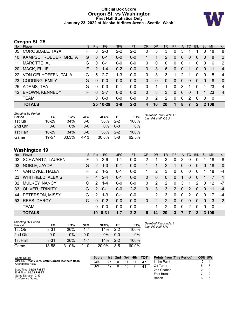### **Official Box Score Oregon St. vs Washington First Half Statistics Only January 23, 2022 at Alaska Airlines Arena - Seattle, Wash.**



# **Oregon St. 25**

| No.       | -<br>Player             | S. | <b>Pts</b>    | FG.      | 3FG     | <b>FT</b> | <b>OR</b> | D <sub>R</sub> | TR       | <b>PF</b>    | $\mathsf{A}$   | TO       | <b>BIK</b>              | Stl            | <b>Min</b> | $+/-$          |
|-----------|-------------------------|----|---------------|----------|---------|-----------|-----------|----------------|----------|--------------|----------------|----------|-------------------------|----------------|------------|----------------|
| 05        | COROSDALE, TAYA         | F  | 8             | $2 - 3$  | $2 - 2$ | $2 - 2$   | 0         | 3              | 3        | 0            | 3              |          | 1                       | 0              | 18         | 8              |
| 10        | KAMPSCHROEDER, GRETA    | G  | $\Omega$      | $0 - 1$  | $0 - 0$ | $0 - 0$   |           |                | 2        | $\Omega$     | $\overline{0}$ | 0        | 0                       | $\overline{0}$ | 8          | $\overline{2}$ |
| 11        | MAROTTE, AJ             | G  | $\Omega$      | $0 - 1$  | $0 - 0$ | $0 - 0$   | 0         | $\Omega$       | 0        | 0            | 0              |          | 0                       | $\Omega$       | 6          | $\overline{2}$ |
| <b>20</b> | MACK, ELLIE             | F. | $\mathcal{P}$ | $1 - 4$  | $0 - 2$ | $0 - 0$   | 3         | 3              | 6        | $\mathbf{0}$ | $\overline{0}$ |          | 0                       | $\overline{0}$ | 11         | $\overline{4}$ |
|           | 22 VON OELHOFFEN, TALIA | G  | 5             | $2 - 7$  | $1 - 3$ | $0 - 0$   | 0         | 3              | 3        | 1            | 2              | 1        | 0                       | $\mathbf{0}$   | 5          | $\overline{4}$ |
|           | 23 CODDING, EMILY       | G  | $\Omega$      | $0 - 0$  | $0 - 0$ | $0-0$     | 0         | $\Omega$       | $\Omega$ | 0            | $\overline{0}$ | $\Omega$ | 0                       | $\overline{0}$ | 8          | $\mathbf{0}$   |
| 25        | ADAMS, TEA              | G  | $\Omega$      | $0 - 3$  | $0 - 1$ | $0-0$     | 0         |                | 1        | $\Omega$     | 3              | 1        | $\Omega$                | 1              | 23         | 4              |
| 42        | <b>BROWN, KENNEDY</b>   | F. | 6             | $3 - 7$  | $0-0$   | $0 - 0$   | 0         | 3              | 3        | 0            | $\mathbf{0}$   | $\Omega$ | 1                       |                | 23         | $\overline{4}$ |
|           | <b>TEAM</b>             |    | 0             | $0 - 0$  | $0 - 0$ | $0 - 0$   | 0         | 2              | 2        | 0            | $\Omega$       | 2        | $\Omega$                | $\Omega$       | 0          |                |
|           | <b>TOTALS</b>           |    |               | 25 10-29 | $3 - 8$ | $2 - 2$   | 4         | 16             | 20       |              | 8              |          | $\overline{\mathbf{z}}$ |                | 2 100      |                |

| <b>Shooting By Period</b><br>Period | FG        | FG%   | 3FG     | 3FG%  | FТ      | FT%   | Deadball Rebounds: 4,1<br>Last FG Half: OSU - |
|-------------------------------------|-----------|-------|---------|-------|---------|-------|-----------------------------------------------|
| 1st Otr                             | $10 - 29$ | 34%   | $3 - 8$ | 38%   | $2 - 2$ | 100%  |                                               |
| 2nd Qtr                             | 0-0       | 0%    | $0 - 0$ | 0%    | $0 - 0$ | 0%    |                                               |
| 1st Half                            | $10 - 29$ | 34%   | $3 - 8$ | 38%   | $2 - 2$ | 100%  |                                               |
| Game                                | 19-57     | 33.3% | $4-13$  | 30.8% | $5-8$   | 62.5% |                                               |

# **Washington 19**

| No. | Player                   | S. | <b>Pts</b>     | FG      | 3FG     | <b>FT</b> | <b>OR</b>      | <b>DR</b>    | <b>TR</b>     | PF             | A        | TO.           | <b>Blk</b>     | Stl            | Min   | $+/-$          |
|-----|--------------------------|----|----------------|---------|---------|-----------|----------------|--------------|---------------|----------------|----------|---------------|----------------|----------------|-------|----------------|
| 02  | <b>SCHWARTZ, LAUREN</b>  | F. | 5.             | $2 - 6$ | $1 - 1$ | $0 - 0$   | 2              |              | 3             | $\Omega$       | 3        | 0             |                |                | 18    | -8             |
| 03  | NOBLE, JAYDA             | G  | $\mathcal{P}$  | $1 - 3$ | $0 - 1$ | $0 - 0$   |                |              | 2             |                | 0        | 0             | 0              | $\overline{0}$ | 18    | $\Omega$       |
| 11  | VAN DYKE, HALEY          | F. | $\mathcal{P}$  | $1-5$   | $0 - 1$ | $0-0$     |                | 2            | 3             | $\Omega$       | 0        | $\Omega$      | $\mathbf 0$    | 1              | 18    | $-4$           |
| 23  | <b>WHITFIELD, ALEXIS</b> | F. | $\overline{4}$ | $2 - 4$ | $0 - 1$ | $0-0$     | $\overline{0}$ | $\mathbf{0}$ | $\mathbf{0}$  | $\mathbf{0}$   | 1        | 0             | $\overline{0}$ |                |       | $\overline{1}$ |
| 32  | <b>MULKEY, NANCY</b>     | C  | $\mathcal{P}$  | $1 - 4$ | $0 - 0$ | $0-0$     | $\Omega$       | 2            | $\mathcal{P}$ | $\Omega$       | 3        | 1             | $\mathcal{P}$  | $\Omega$       | 12    | $-7$           |
|     | 33 OLIVER, TRINITY       | G  | $\mathcal{P}$  | $0 - 1$ | $0 - 0$ | $2 - 2$   | $\Omega$       | 3            | 3             | $\overline{2}$ | $\Omega$ | $\mathcal{P}$ | $\Omega$       | 0              | 11    | $-4$           |
| 44  | PETERSON, MISSY          | G  | $\mathcal{P}$  | $1 - 3$ | $0 - 1$ | $0 - 0$   |                | 2            | 3             | $\Omega$       | $\Omega$ | 2             | $\Omega$       | 0              | 17    | $-4$           |
| 53  | <b>REES, DARCY</b>       | C  | 0              | $0 - 2$ | $0 - 0$ | $0 - 0$   | $\Omega$       | 2            | $\mathcal{P}$ | $\Omega$       | $\Omega$ | $\Omega$      | $\Omega$       | $\Omega$       | 3     | 2              |
|     | <b>TEAM</b>              |    | 0              | $0 - 0$ | $0 - 0$ | $0 - 0$   |                |              | $\mathcal{P}$ | $\Omega$       | 0        | 2             | $\Omega$       | 0              | - 0   |                |
|     | <b>TOTALS</b>            |    | 19             | 8-31    | $1 - 7$ | $2 - 2$   | 6              | 14           | 20            | 3              |          |               | 3              |                | 3 100 |                |

| <b>Shooting By Period</b><br>Period | FG       | FG%   | 3FG      | 3FG%     | FТ      | FT%   |
|-------------------------------------|----------|-------|----------|----------|---------|-------|
| 1st Otr                             | 8-31     | 26%   | $1 - 7$  | 14%      | $2-2$   | 100%  |
| 2nd Qtr                             | $0 - 0$  | $0\%$ | $0 - 0$  | $0\%$    | 0-0     | $0\%$ |
| 1st Half                            | $8 - 31$ | 26%   | $1 - 7$  | 14%      | $2 - 2$ | 100%  |
| Game                                | 18-58    | 31.0% | $2 - 10$ | $20.0\%$ | $3-5$   | 60.0% |

*Deadball Rebounds:* 1,1 *Last FG Half:* UW -

| Game Notes:                                          | <b>Score</b> | 1st l | 2nd | 3rd | 4th | <b>TOT</b> | <b>Points from (This Period)</b> | <b>OSU UW</b> |  |
|------------------------------------------------------|--------------|-------|-----|-----|-----|------------|----------------------------------|---------------|--|
| Officials: Tiffany Bird, Cathi Cornell, Kenneth Nash | osu          | 25    |     |     |     | 47         | In the Paint                     |               |  |
| Attendance: 1350                                     | JW           | 19    |     | 15  |     | 41         | Off Turns                        |               |  |
| Start Time: 03:06 PM ET                              |              |       |     |     |     |            | 2nd Chance                       |               |  |
| End Time: 05:39 PM ET<br>Game Duration: 2:32         |              |       |     |     |     |            | <b>Fast Break</b>                |               |  |
| Conference Game:                                     |              |       |     |     |     |            | Bench                            |               |  |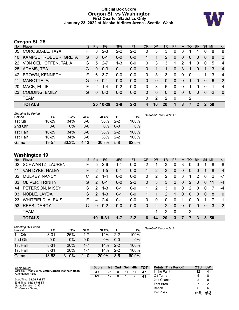### **Official Box Score Oregon St. vs Washington First Quarter Statistics Only January 23, 2022 at Alaska Airlines Arena - Seattle, Wash.**



# **Oregon St. 25**

| No. | Player                 | S. | <b>Pts</b> | FG.      | 3FG     | <b>FT</b> | <b>OR</b> | <b>DR</b> | <b>TR</b>      | PF       | A            | TO             | <b>B</b> lk | Stl         | <b>Min</b> | $+/-$          |
|-----|------------------------|----|------------|----------|---------|-----------|-----------|-----------|----------------|----------|--------------|----------------|-------------|-------------|------------|----------------|
| 05  | <b>COROSDALE, TAYA</b> | F. | 8          | $2 - 3$  | $2 - 2$ | $2 - 2$   | 0         | 3         | 3              | 0        | 3            |                |             | 0           | 8          | 8              |
| 10  | KAMPSCHROEDER, GRETA   | G  | $\Omega$   | $0 - 1$  | $0-0$   | $0-0$     |           |           | $\overline{2}$ | 0        | $\mathbf{0}$ | 0              | $\Omega$    | $\Omega$    | 8          | 2              |
| 22  | VON OELHOFFEN, TALIA   | G  | 5          | $2 - 7$  | $1 - 3$ | $0 - 0$   | 0         | 3         | 3              | 1        | 2            | 1              | $\Omega$    | $\Omega$    | 5          | $\overline{4}$ |
| 25  | ADAMS, TEA             | G  | $\Omega$   | $0 - 3$  | $0 - 1$ | $0 - 0$   | 0         |           | 1              | 0        | 3            | 1              | $\Omega$    | 1           | 13         | $\overline{4}$ |
| 42  | <b>BROWN, KENNEDY</b>  | F. | 6          | $3 - 7$  | $0-0$   | $0 - 0$   | 0         | 3         | 3              | 0        | $\mathbf 0$  | 0              | 1           |             | 13         | $\overline{4}$ |
| 11  | MAROTTE, AJ            | G  | $\Omega$   | $0 - 1$  | $0 - 0$ | $0-0$     | $\Omega$  | $\Omega$  | $\mathbf{0}$   | 0        | $\mathbf{0}$ | 1              | $\Omega$    | $\Omega$    | 6          | 2              |
| 20  | <b>MACK, ELLIE</b>     | F. | 2          | $1 - 4$  | $0 - 2$ | $0-0$     | 3         | 3         | 6              | $\Omega$ | $\Omega$     | 1              | $\Omega$    | $\Omega$    | 1          | 4              |
| 23  | <b>CODDING, EMILY</b>  | G  | $\Omega$   | $0 - 0$  | $0 - 0$ | $0 - 0$   | 0         | $\Omega$  | $\mathbf{0}$   | $\Omega$ | $\mathbf{0}$ | $\overline{0}$ | $\Omega$    | $\Omega$    | $-2$       | $\overline{0}$ |
|     | <b>TEAM</b>            |    |            |          |         |           | $\Omega$  | 2         | 2              | 0        |              | 2              |             |             |            |                |
|     | <b>TOTALS</b>          |    |            | 25 10-29 | $3 - 8$ | $2 - 2$   | 4         | 16        | 20             | 1        | 8            | 7              | 2           | $2^{\circ}$ | 50         |                |
|     |                        |    |            |          |         |           |           |           |                |          |              |                |             |             |            |                |

| <b>Shooting By Period</b><br>Period | FG        | FG%   | 3FG      | 3FG%  | FT      | FT%   | Deadball Rebounds: 4.1 |
|-------------------------------------|-----------|-------|----------|-------|---------|-------|------------------------|
| 1st Qtr                             | $10 - 29$ | 34%   | $3 - 8$  | 38%   | $2 - 2$ | 100%  |                        |
| 2nd Qtr                             | $0 - 0$   | 0%    | $0 - 0$  | 0%    | $0 - 0$ | 0%    |                        |
| 1st Half                            | $10 - 29$ | 34%   | $3 - 8$  | 38%   | $2 - 2$ | 100%  |                        |
| 1st Half                            | $10 - 29$ | 34%   | $3 - 8$  | 38%   | $2 - 2$ | 100%  |                        |
| Game                                | 19-57     | 33.3% | $4 - 13$ | 30.8% | $5-8$   | 62.5% |                        |

# **Washington 19**

| No. | Player                   | S  | <b>Pts</b>    | FG.     | 3FG     | <b>FT</b> | <b>OR</b> | <b>DR</b> | <b>TR</b>     | <b>PF</b>      | $\mathsf{A}$ | TO       | <b>Blk</b> | <b>Stl</b>     | Min | $+/-$          |
|-----|--------------------------|----|---------------|---------|---------|-----------|-----------|-----------|---------------|----------------|--------------|----------|------------|----------------|-----|----------------|
| 02  | <b>SCHWARTZ, LAUREN</b>  | F  | 5             | $2-6$   | $1 - 1$ | $0-0$     | 2         |           | 3             | 0              | 3            | $\Omega$ | 0          |                | 8   | -8             |
| 11  | VAN DYKE, HALEY          | F. | $\mathcal{P}$ | $1 - 5$ | $0 - 1$ | $0 - 0$   |           | 2         | 3             | 0              | $\Omega$     | 0        | 0          |                | 8   | $-4$           |
| 32  | <b>MULKEY, NANCY</b>     | C  | $\mathcal{P}$ | $1 - 4$ | $0-0$   | $0 - 0$   | $\Omega$  | 2         | 2             | 0              | 3            | 1        | 2          | $\Omega$       | 2   | $-7$           |
|     | 33 OLIVER, TRINITY       | G  | $\mathcal{P}$ | $0 - 1$ | $0-0$   | $2 - 2$   | $\Omega$  | 3         | 3             | $\overline{2}$ | $\mathbf{0}$ | 2        | $\Omega$   | $\overline{0}$ | 11  | $-4$           |
|     | 44 PETERSON, MISSY       | G  | $\mathcal{P}$ | $1 - 3$ | $0 - 1$ | $0-0$     | 1         | 2         | 3             | 0              | $\mathbf{0}$ | 2        | $\Omega$   | 0              | 7   | $-4$           |
| 03  | NOBLE, JAYDA             | G  | $\mathcal{P}$ | $1 - 3$ | $0 - 1$ | $0 - 0$   |           |           | $\mathcal{P}$ | 1              | 0            | $\Omega$ | $\Omega$   | $\mathbf{0}$   | 8   | $\Omega$       |
| 23  | <b>WHITFIELD, ALEXIS</b> | F. | 4             | $2 - 4$ | $0 - 1$ | $0 - 0$   | $\Omega$  | $\Omega$  | $\Omega$      | $\Omega$       |              | 0        | $\Omega$   |                |     | $\overline{1}$ |
| 53  | <b>REES, DARCY</b>       | C  | $\Omega$      | $0 - 2$ | $0 - 0$ | $0 - 0$   | $\Omega$  | 2         | $\mathcal{P}$ | $\Omega$       | $\Omega$     | $\Omega$ | $\Omega$   | $\Omega$       | -3  | 2              |
|     | <b>TEAM</b>              |    |               |         |         |           |           |           | 2             | - 0            |              | 2        |            |                |     |                |
|     | <b>TOTALS</b>            |    | 19            | 8-31    | 1-7     | $2 - 2$   | 6         | 14        | 20            | 3              |              |          | 3          | 3              | 50  |                |

| <b>Shooting By Period</b><br>Period | FG       | FG%   | 3FG      | 3FG%  | FT      | FT%   | Deadball Rebounds: 1,1 |
|-------------------------------------|----------|-------|----------|-------|---------|-------|------------------------|
| 1st Qtr                             | $8 - 31$ | 26%   | $1 - 7$  | 14%   | $2 - 2$ | 100%  |                        |
| 2nd Qtr                             | $0 - 0$  | 0%    | $0 - 0$  | 0%    | $0 - 0$ | 0%    |                        |
| 1st Half                            | $8 - 31$ | 26%   | $1 - 7$  | 14%   | $2 - 2$ | 100%  |                        |
| 1st Half                            | $8 - 31$ | 26%   | $1 - 7$  | 14%   | $2 - 2$ | 100%  |                        |
| Game                                | 18-58    | 31.0% | $2 - 10$ | 20.0% | $3-5$   | 60.0% |                        |

| Game Notes:                                                              | <b>Score</b> |    | 1st 2nd | 3rd | 4th | тот | <b>Points (This Period)</b> | OSU            | <b>UW</b>     |
|--------------------------------------------------------------------------|--------------|----|---------|-----|-----|-----|-----------------------------|----------------|---------------|
| Officials: Tiffany Bird, Cathi Cornell, Kenneth Nash<br>Attendance: 1350 | OSL          | 25 |         | 11  |     | 47  | In the Paint                |                |               |
|                                                                          | UW           | 19 |         | 15  |     | 41  | Off Turns                   |                |               |
| Start Time: 03:06 PM ET                                                  |              |    |         |     |     |     | 2nd Chance                  |                |               |
| End Time: 05:39 PM ET<br>Game Duration: 2:32                             |              |    |         |     |     |     | <b>Fast Break</b>           |                |               |
| Conference Game:                                                         |              |    |         |     |     |     | Bench                       |                | 6             |
|                                                                          |              |    |         |     |     |     | Per Poss                    | 0.758<br>11/33 | 0.576<br>9/33 |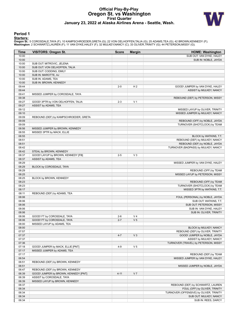# **Official Play-By-Play Oregon St. vs Washington First Quarter January 23, 2022 at Alaska Airlines Arena - Seattle, Wash.**



### **Period 1**

<mark>Starters:</mark><br>Oregon St.: 5 COROSDALE,TAYA (F); 10 KAMPSCHROEDER,GRETA (G); 22 VON OELHOFFEN,TALIA (G); 25 ADAMS,TEA (G); 42 BROWN,KENNEDY (F);<br>**Washington**: 2 SCHWARTZ,LAUREN (F); 11 VAN DYKE,HALEY (F); 32 MULKEY,NANCY (C);

| <b>Time</b> | <b>VISITORS: Oregon St.</b>           | <b>Score</b> | <b>Margin</b>  | <b>HOME: Washington</b>                 |
|-------------|---------------------------------------|--------------|----------------|-----------------------------------------|
| 10:00       |                                       |              |                | SUB OUT: VAN DYKE, HALEY                |
| 10:00       |                                       |              |                | SUB IN: NOBLE, JAYDA                    |
| 10:00       | SUB OUT: MITROVIC, JELENA             |              |                |                                         |
| 10:00       | SUB OUT: VON OELHOFFEN, TALIA         |              |                |                                         |
| 10:00       | SUB OUT: CODDING, EMILY               |              |                |                                         |
| 10:00       | SUB IN: MAROTTE, AJ                   |              |                |                                         |
| 10:00       | SUB IN: ADAMS, TEA                    |              |                |                                         |
| 10:00       | SUB IN: BROWN, KENNEDY                |              |                |                                         |
| 09:44       |                                       | $2 - 0$      | H <sub>2</sub> | GOOD! JUMPER by VAN DYKE, HALEY         |
| 09:44       |                                       |              |                | ASSIST by MULKEY, NANCY                 |
| 09:41       | MISSED JUMPER by COROSDALE, TAYA      |              |                |                                         |
| 09:38       |                                       |              |                | REBOUND (DEF) by PETERSON, MISSY        |
| 09:27       | GOOD! 3PTR by VON OELHOFFEN, TALIA    | $2 - 3$      | V <sub>1</sub> |                                         |
| 09:27       | ASSIST by ADAMS, TEA                  |              |                |                                         |
| 09:12       |                                       |              |                | MISSED LAYUP by OLIVER, TRINITY         |
| 09:10       |                                       |              |                | MISSED JUMPER by MULKEY, NANCY          |
| 09:09       | REBOUND (DEF) by KAMPSCHROEDER, GRETA |              |                |                                         |
| 09:09       |                                       |              |                | REBOUND (OFF) by NOBLE, JAYDA           |
| 09:09       |                                       |              |                | TURNOVER (SHOTCLOCK) by TEAM            |
| 08:56       | MISSED JUMPER by BROWN, KENNEDY       |              |                |                                         |
| 08:55       | MISSED 3PTR by MACK, ELLIE            |              |                |                                         |
| 08:55       |                                       |              |                | BLOCK by WATKINS, T.T.                  |
| 08:51       |                                       |              |                | REBOUND (DEF) by MULKEY, NANCY          |
| 08:51       |                                       |              |                | REBOUND (DEF) by NOBLE, JAYDA           |
| 08:42       |                                       |              |                | TURNOVER (BADPASS) by MULKEY, NANCY     |
| 08:42       | STEAL by BROWN, KENNEDY               |              |                |                                         |
| 08:37       | GOOD! LAYUP by BROWN, KENNEDY [FB]    | $2 - 5$      | $V_3$          |                                         |
| 08:37       | ASSIST by ADAMS, TEA                  |              |                |                                         |
| 08:29       |                                       |              |                | MISSED JUMPER by VAN DYKE, HALEY        |
| 08:29       | BLOCK by COROSDALE, TAYA              |              |                |                                         |
| 08:29       |                                       |              |                | REBOUND (OFF) by TEAM                   |
| 08:25       |                                       |              |                | MISSED LAYUP by PETERSON, MISSY         |
| 08:25       | BLOCK by BROWN, KENNEDY               |              |                |                                         |
| 08:23       |                                       |              |                | REBOUND (OFF) by TEAM                   |
| 08:23       |                                       |              |                | TURNOVER (SHOTCLOCK) by TEAM            |
| 08:17       |                                       |              |                | MISSED 3PTR by WATKINS, T.T.            |
| 08:11       | REBOUND (DEF) by ADAMS, TEA           |              |                |                                         |
| 08:06       |                                       |              |                | FOUL (PERSONAL) by NOBLE, JAYDA         |
| 08:06       |                                       |              |                | SUB OUT: WATKINS, T.T.                  |
| 08:06       |                                       |              |                | SUB OUT: PETERSON, MISSY                |
| 08:06       |                                       |              |                | SUB IN: VAN DYKE, HALEY                 |
| 08:06       |                                       |              |                | SUB IN: OLIVER, TRINITY                 |
| 08:06       | GOOD! FT by COROSDALE, TAYA           | $2 - 6$      | V <sub>4</sub> |                                         |
| 08:06       | GOOD! FT by COROSDALE, TAYA           | $2 - 7$      | V <sub>5</sub> |                                         |
| 08:00       | MISSED LAYUP by ADAMS, TEA            |              |                |                                         |
| 08:00       |                                       |              |                | BLOCK by MULKEY, NANCY                  |
| 07:57       |                                       |              |                | REBOUND (DEF) by OLIVER, TRINITY        |
| 07:37       |                                       | $4 - 7$      | $V_3$          | GOOD! JUMPER by NOBLE, JAYDA            |
| 07:37       |                                       |              |                | ASSIST by MULKEY, NANCY                 |
| 07:36       |                                       |              |                | TURNOVER (TRAVEL) by PETERSON, MISSY    |
| 07:18       | GOOD! JUMPER by MACK, ELLIE [PNT]     | $4 - 9$      | V <sub>5</sub> |                                         |
| 07:17       | MISSED JUMPER by ADAMS, TEA           |              |                |                                         |
| 07:17       |                                       |              |                | REBOUND (DEF) by TEAM                   |
|             |                                       |              |                |                                         |
| 06:54       |                                       |              |                | MISSED JUMPER by VAN DYKE, HALEY        |
| 06:51       | REBOUND (DEF) by BROWN, KENNEDY       |              |                |                                         |
| 06:51       |                                       |              |                | MISSED JUMPER by NOBLE, JAYDA           |
| 06:47       | REBOUND (DEF) by BROWN, KENNEDY       |              |                |                                         |
| 06:39       | GOOD! JUMPER by BROWN, KENNEDY [PNT]  | $4 - 11$     | V <sub>7</sub> |                                         |
| 06:39       | ASSIST by COROSDALE, TAYA             |              |                |                                         |
| 06:39       | MISSED LAYUP by BROWN, KENNEDY        |              |                |                                         |
| 06:37       |                                       |              |                | REBOUND (DEF) by SCHWARTZ, LAUREN       |
| 06:34       |                                       |              |                | FOUL (OFF) by OLIVER, TRINITY           |
| 06:34       |                                       |              |                | TURNOVER (OFFENSIVE) by OLIVER, TRINITY |
| 06:34       |                                       |              |                | SUB OUT: MULKEY, NANCY                  |
| 06:34       |                                       |              |                | SUB IN: REES, DARCY                     |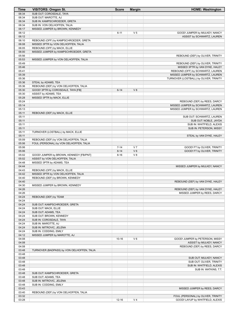| Time           | <b>VISITORS: Oregon St.</b>                | <b>Score</b> | <b>Margin</b>  | <b>HOME: Washington</b>                |
|----------------|--------------------------------------------|--------------|----------------|----------------------------------------|
| 06:34          | SUB OUT: COROSDALE, TAYA                   |              |                |                                        |
| 06:34          | SUB OUT: MAROTTE, AJ                       |              |                |                                        |
| 06:34          | SUB IN: KAMPSCHROEDER, GRETA               |              |                |                                        |
| 06:34          | SUB IN: VON OELHOFFEN, TALIA               |              |                |                                        |
| 06:17          | MISSED JUMPER by BROWN, KENNEDY            |              |                |                                        |
| 06:12          |                                            | $6 - 11$     | V <sub>5</sub> | GOOD! JUMPER by MULKEY, NANCY          |
| 06:12          |                                            |              |                | ASSIST by SCHWARTZ, LAUREN             |
| 06:10          | REBOUND (OFF) by KAMPSCHROEDER, GRETA      |              |                |                                        |
| 06:08          | MISSED 3PTR by VON OELHOFFEN, TALIA        |              |                |                                        |
| 06:05          | REBOUND (OFF) by MACK, ELLIE               |              |                |                                        |
| 06:00          | MISSED JUMPER by KAMPSCHROEDER, GRETA      |              |                |                                        |
| 05:56          |                                            |              |                | REBOUND (DEF) by OLIVER, TRINITY       |
| 05:53          | MISSED JUMPER by VON OELHOFFEN, TALIA      |              |                |                                        |
| 05:49          |                                            |              |                | REBOUND (DEF) by OLIVER, TRINITY       |
| 05:46          |                                            |              |                | MISSED 3PTR by VAN DYKE, HALEY         |
| 05:41          |                                            |              |                | REBOUND (OFF) by SCHWARTZ, LAUREN      |
| 05:39          |                                            |              |                | MISSED JUMPER by SCHWARTZ, LAUREN      |
| 05:36<br>05:36 | STEAL by ADAMS, TEA                        |              |                | TURNOVER (LOSTBALL) by OLIVER, TRINITY |
| 05:36          | REBOUND (DEF) by VON OELHOFFEN, TALIA      |              |                |                                        |
| 05:30          | GOOD! 3PTR by COROSDALE, TAYA [FB]         | $6 - 14$     | V8             |                                        |
| 05:30          | ASSIST by ADAMS, TEA                       |              |                |                                        |
| 05:28          | MISSED 3PTR by MACK, ELLIE                 |              |                |                                        |
| 05:24          |                                            |              |                | REBOUND (DEF) by REES, DARCY           |
| 05:14          |                                            |              |                | MISSED JUMPER by SCHWARTZ, LAUREN      |
| 05:13          |                                            |              |                | MISSED JUMPER by SCHWARTZ, LAUREN      |
| 05:11          | REBOUND (DEF) by MACK, ELLIE               |              |                |                                        |
| 05:11          |                                            |              |                | SUB OUT: SCHWARTZ, LAUREN              |
| 05:11          |                                            |              |                | SUB OUT: NOBLE, JAYDA                  |
| 05:11          |                                            |              |                | SUB IN: WHITFIELD, ALEXIS              |
| 05:11          |                                            |              |                | SUB IN: PETERSON, MISSY                |
| 05:11          | TURNOVER (LOSTBALL) by MACK, ELLIE         |              |                |                                        |
| 05:11          |                                            |              |                | STEAL by VAN DYKE, HALEY               |
| 05:09          | REBOUND (DEF) by VON OELHOFFEN, TALIA      |              |                |                                        |
| 05:06          | FOUL (PERSONAL) by VON OELHOFFEN, TALIA    |              |                |                                        |
| 05:06          |                                            | $7 - 14$     | V <sub>7</sub> | GOOD! FT by OLIVER, TRINITY            |
| 05:06          |                                            | $8 - 14$     | $V_6$          | GOOD! FT by OLIVER, TRINITY            |
| 05:02          | GOOD! JUMPER by BROWN, KENNEDY [FB/PNT]    | $8 - 16$     | V 8            |                                        |
| 05:02          | ASSIST by VON OELHOFFEN, TALIA             |              |                |                                        |
| 04:48          | MISSED 3PTR by ADAMS, TEA                  |              |                |                                        |
| 04:44          |                                            |              |                | MISSED JUMPER by MULKEY, NANCY         |
| 04:43          | REBOUND (OFF) by MACK, ELLIE               |              |                |                                        |
| 04:42          | MISSED 3PTR by VON OELHOFFEN, TALIA        |              |                |                                        |
| 04:40          | REBOUND (DEF) by BROWN, KENNEDY            |              |                |                                        |
| 04:40          |                                            |              |                | REBOUND (DEF) by VAN DYKE, HALEY       |
| 04:30          | MISSED JUMPER by BROWN, KENNEDY            |              |                |                                        |
| 04:26          |                                            |              |                | REBOUND (DEF) by VAN DYKE, HALEY       |
| 04:26<br>04:24 | REBOUND (DEF) by TEAM                      |              |                | MISSED JUMPER by REES, DARCY           |
| 04:24          |                                            |              |                |                                        |
| 04:24          | SUB OUT: KAMPSCHROEDER, GRETA              |              |                |                                        |
| 04:24          | SUB OUT: MACK, ELLIE                       |              |                |                                        |
| 04:24          | SUB OUT: ADAMS, TEA                        |              |                |                                        |
| 04:24          | SUB OUT: BROWN, KENNEDY                    |              |                |                                        |
| 04:24          | SUB IN: COROSDALE, TAYA                    |              |                |                                        |
| 04:24          | SUB IN: MAROTTE, AJ                        |              |                |                                        |
| 04:24          | SUB IN: MITROVIC, JELENA                   |              |                |                                        |
| 04:24          | SUB IN: CODDING, EMILY                     |              |                |                                        |
| 04:12          | MISSED JUMPER by MAROTTE, AJ               |              |                |                                        |
| 04:08          |                                            | $10 - 16$    | $V_6$          | GOOD! JUMPER by PETERSON, MISSY        |
| 04:08          |                                            |              |                | ASSIST by MULKEY, NANCY                |
| 04:08          |                                            |              |                | REBOUND (DEF) by REES, DARCY           |
| 03:48          | TURNOVER (BADPASS) by VON OELHOFFEN, TALIA |              |                |                                        |
| 03:48          |                                            |              |                |                                        |
| 03:48          |                                            |              |                | SUB OUT: MULKEY, NANCY                 |
| 03:48          |                                            |              |                | SUB OUT: OLIVER, TRINITY               |
| 03:48          |                                            |              |                | SUB IN: WHITFIELD, ALEXIS              |
| 03:48          |                                            |              |                | SUB IN: WATKINS, T.T.                  |
| 03:48          | SUB OUT: KAMPSCHROEDER, GRETA              |              |                |                                        |
| 03:48          | SUB OUT: ADAMS, TEA                        |              |                |                                        |
| 03:48          | SUB IN: MITROVIC, JELENA                   |              |                |                                        |
| 03:48          | SUB IN: CODDING, EMILY                     |              |                |                                        |
| 03:43          |                                            |              |                | MISSED JUMPER by REES, DARCY           |
| 03:40          | REBOUND (DEF) by VON OELHOFFEN, TALIA      |              |                |                                        |
| 03:32          |                                            |              |                | FOUL (PERSONAL) by OLIVER, TRINITY     |
| 03:28          |                                            | $12 - 16$    | V <sub>4</sub> | GOOD! LAYUP by WHITFIELD, ALEXIS       |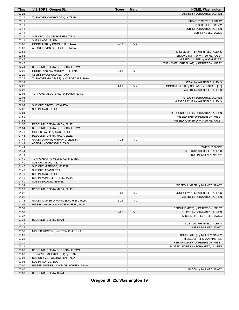| <b>Time</b>    | <b>VISITORS: Oregon St.</b>           | <b>Score</b> | <b>Margin</b>  | <b>HOME: Washington</b>                                             |
|----------------|---------------------------------------|--------------|----------------|---------------------------------------------------------------------|
| 03:28          |                                       |              |                | ASSIST by SCHWARTZ, LAUREN                                          |
| 03:11          | TURNOVER (SHOTCLOCK) by TEAM          |              |                |                                                                     |
| 03:11          |                                       |              |                | SUB OUT: OLIVER, TRINITY                                            |
| 03:11          |                                       |              |                | SUB OUT: REES, DARCY                                                |
| 03:11          |                                       |              |                | SUB IN: SCHWARTZ, LAUREN                                            |
| 03:11          |                                       |              |                | SUB IN: NOBLE, JAYDA                                                |
| 03:11          | SUB OUT: VON OELHOFFEN, TALIA         |              |                |                                                                     |
| 03:11          | SUB IN: ADAMS, TEA                    |              |                |                                                                     |
| 03:08          | GOOD! 3PTR by COROSDALE, TAYA         | $12 - 19$    | V <sub>7</sub> |                                                                     |
| 03:08          | ASSIST by VON OELHOFFEN, TALIA        |              |                |                                                                     |
| 02:58          |                                       |              |                | MISSED 3PTR by WHITFIELD, ALEXIS                                    |
| 02:53          |                                       |              |                | REBOUND (OFF) by VAN DYKE, HALEY                                    |
| 02:45          |                                       |              |                | MISSED JUMPER by WATKINS, T.T.                                      |
| 02:45          |                                       |              |                | TURNOVER (DRIBBLING) by PETERSON, MISSY                             |
| 02:41          | REBOUND (DEF) by COROSDALE, TAYA      |              |                |                                                                     |
| 02:29          | GOOD! LAYUP by MITROVIC, JELENA       | $12 - 21$    | V <sub>9</sub> |                                                                     |
| 02:29          | ASSIST by COROSDALE, TAYA             |              |                |                                                                     |
| 02:29<br>02:29 | TURNOVER (BADPASS) by COROSDALE, TAYA |              |                |                                                                     |
| 02:23          |                                       | $14 - 21$    | V <sub>7</sub> | STEAL by WHITFIELD, ALEXIS<br>GOOD! JUMPER by SCHWARTZ, LAUREN [FB] |
| 02:23          |                                       |              |                | ASSIST by WHITFIELD, ALEXIS                                         |
| 02:08          | TURNOVER (LOSTBALL) by MAROTTE, AJ    |              |                |                                                                     |
| 02:08          |                                       |              |                | STEAL by SCHWARTZ, LAUREN                                           |
| 02:03          |                                       |              |                | MISSED LAYUP by WHITFIELD, ALEXIS                                   |
| 02:02          | SUB OUT: BROWN, KENNEDY               |              |                |                                                                     |
| 02:02          | SUB IN: MACK, ELLIE                   |              |                |                                                                     |
| 02:01          |                                       |              |                | REBOUND (OFF) by SCHWARTZ, LAUREN                                   |
| 01:59          |                                       |              |                | MISSED 3PTR by PETERSON, MISSY                                      |
| 01:58          |                                       |              |                | MISSED JUMPER by VAN DYKE, HALEY                                    |
| 01:56          | REBOUND (DEF) by MACK, ELLIE          |              |                |                                                                     |
| 01:54          | REBOUND (DEF) by COROSDALE, TAYA      |              |                |                                                                     |
| 01:49          | MISSED LAYUP by MACK, ELLIE           |              |                |                                                                     |
| 01:45          | REBOUND (OFF) by MACK, ELLIE          |              |                |                                                                     |
| 01:44          | GOOD! LAYUP by MITROVIC, JELENA       | 14-23        | V <sub>9</sub> |                                                                     |
| 01:44          | ASSIST by COROSDALE, TAYA             |              |                |                                                                     |
| 01:44          |                                       |              |                | TIMEOUT 30SEC                                                       |
| 01:44          |                                       |              |                | SUB OUT: WHITFIELD, ALEXIS                                          |
| 01:44          |                                       |              |                | SUB IN: MULKEY, NANCY                                               |
| 01:40          | TURNOVER (TRAVEL) by ADAMS, TEA       |              |                |                                                                     |
| 01:40          | SUB OUT: MAROTTE, AJ                  |              |                |                                                                     |
| 01:40          | SUB OUT: MITROVIC, JELENA             |              |                |                                                                     |
| 01:40          | SUB OUT: ADAMS, TEA                   |              |                |                                                                     |
| 01:40          | SUB IN: MACK, ELLIE                   |              |                |                                                                     |
| 01:40          | SUB IN: VON OELHOFFEN, TALIA          |              |                |                                                                     |
| 01:40          | SUB IN: BROWN, KENNEDY                |              |                |                                                                     |
| 01:31          |                                       |              |                | MISSED JUMPER by MULKEY, NANCY                                      |
| 01:28          | REBOUND (DEF) by MACK, ELLIE          |              |                |                                                                     |
| 01:22          |                                       | 16-23        | V <sub>7</sub> | GOOD! LAYUP by WHITFIELD, ALEXIS                                    |
| 01:22          |                                       |              |                | ASSIST by SCHWARTZ, LAUREN                                          |
| 01:18          | GOOD! JUMPER by VON OELHOFFEN, TALIA  | 16-25        | V <sub>9</sub> |                                                                     |
| 01:05          | MISSED LAYUP by VON OELHOFFEN, TALIA  |              |                |                                                                     |
| 00:59          |                                       |              |                | REBOUND (DEF) by PETERSON, MISSY                                    |
| 00:59          |                                       | 19-25        | $V_6$          | GOOD! 3PTR by SCHWARTZ, LAUREN                                      |
| 00:37          |                                       |              |                | MISSED 3PTR by NOBLE, JAYDA                                         |
| 00:34          | REBOUND (DEF) by TEAM                 |              |                |                                                                     |
| 00:34          |                                       |              |                | SUB OUT: WHITFIELD, ALEXIS                                          |
| 00:34<br>00:32 |                                       |              |                | SUB IN: MULKEY, NANCY                                               |
| 00:29          | MISSED JUMPER by MITROVIC, JELENA     |              |                | REBOUND (DEF) by MULKEY, NANCY                                      |
| 00:26          |                                       |              |                | MISSED 3PTR by WATKINS, T.T.                                        |
| 00:20          |                                       |              |                | REBOUND (OFF) by PETERSON, MISSY                                    |
| 00:11          |                                       |              |                | MISSED JUMPER by SCHWARTZ, LAUREN                                   |
| 00:08          | REBOUND (DEF) by COROSDALE, TAYA      |              |                |                                                                     |
| 00:03          | TURNOVER (SHOTCLOCK) by TEAM          |              |                |                                                                     |
| 00:03          | SUB OUT: VON OELHOFFEN, TALIA         |              |                |                                                                     |
| 00:03          | SUB IN: ADAMS, TEA                    |              |                |                                                                     |
| 00:00          | MISSED JUMPER by VON OELHOFFEN, TALIA |              |                |                                                                     |
| 00:00          |                                       |              |                | BLOCK by MULKEY, NANCY                                              |
| 00:00          | REBOUND (OFF) by TEAM                 |              |                |                                                                     |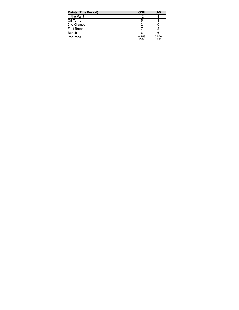| <b>Points (This Period)</b> | OSU            | UW            |
|-----------------------------|----------------|---------------|
| In the Paint                | 12             |               |
| Off Turns                   | 5              |               |
| 2nd Chance                  |                |               |
| <b>Fast Break</b>           |                |               |
| Bench                       | 6              |               |
| Per Poss                    | 0.758<br>11/33 | 0.576<br>9/33 |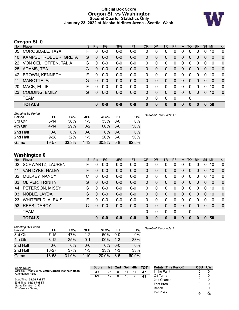### **Official Box Score Oregon St. vs Washington Second Quarter Statistics Only January 23, 2022 at Alaska Airlines Arena - Seattle, Wash.**



# **Oregon St. 0**

| No.       | -<br>Player           | S. | <b>Pts</b> | FG.     | 3FG     | <b>FT</b> | <b>OR</b> | <b>DR</b>    | <b>TR</b>    | PF       | A              | <b>TO</b> | <b>B</b> lk  | <b>Stl</b>     | <b>Min</b> | $+/-$        |
|-----------|-----------------------|----|------------|---------|---------|-----------|-----------|--------------|--------------|----------|----------------|-----------|--------------|----------------|------------|--------------|
| 05        | COROSDALE, TAYA       | F  | 0          | $0 - 0$ | $0 - 0$ | $0 - 0$   | 0         | 0            | 0            | 0        | 0              | 0         | 0            | 0              | 10         | $\mathbf 0$  |
| 10        | KAMPSCHROEDER, GRETA  | G  | $\Omega$   | $0 - 0$ | $0-0$   | $0-0$     | 0         | 0            | 0            | 0        | $\mathbf{0}$   | 0         | $\Omega$     | $\overline{0}$ | $\Omega$   | $\Omega$     |
| <b>22</b> | VON OELHOFFEN, TALIA  | G  | $\Omega$   | $0 - 0$ | $0-0$   | $0-0$     | 0         | $\Omega$     | 0            | 0        | $\mathbf 0$    | 0         | $\mathbf{0}$ | $\Omega$       | $\Omega$   | 0            |
| 25        | ADAMS, TEA            | G  | $\Omega$   | $0 - 0$ | $0 - 0$ | $0 - 0$   | 0         | $\Omega$     | $\mathbf{0}$ | 0        | $\overline{0}$ | $\Omega$  | $\Omega$     | $\Omega$       | 10         | $\mathbf 0$  |
| 42        | <b>BROWN, KENNEDY</b> | F  | 0          | $0-0$   | $0-0$   | $0-0$     | 0         | $\Omega$     | 0            | $\Omega$ | $\mathbf 0$    | 0         | 0            | $\mathbf{0}$   | 10         | 0            |
| 11        | MAROTTE, AJ           | G  | $\Omega$   | $0 - 0$ | $0 - 0$ | $0 - 0$   | 0         | $\Omega$     | $\Omega$     | 0        | $\Omega$       | $\Omega$  | $\Omega$     | $\Omega$       | $\Omega$   | $\mathbf 0$  |
| 20        | <b>MACK, ELLIE</b>    | F  | 0          | $0-0$   | $0-0$   | $0-0$     | 0         | 0            | 0            | $\Omega$ | $\Omega$       | $\Omega$  | $\Omega$     | $\Omega$       | 10         | 0            |
| 23        | <b>CODDING, EMILY</b> | G  | $\Omega$   | $0 - 0$ | $0 - 0$ | $0 - 0$   | 0         | $\mathbf{0}$ | $\mathbf{0}$ | $\Omega$ | $\overline{0}$ | 0         | $\Omega$     | $\Omega$       | 10         | $\mathbf{0}$ |
|           | <b>TEAM</b>           |    |            |         |         |           | 0         | 0            | 0            | 0        |                | 0         |              |                |            |              |
|           | <b>TOTALS</b>         |    | O.         | $0 - 0$ | $0 - 0$ | $0 - 0$   | 0         | 0            | 0            | 0        | $\bf{0}$       | 0         | 0            | $\bf{0}$       | 50         |              |
|           |                       |    |            |         |         |           |           |              |              |          |                |           |              |                |            |              |

| <b>Shooting By Period</b><br>Period | FG       | FG%   | 3FG      | 3FG%       | FT      | FT%   | Deadball Rebounds: 4,1 |
|-------------------------------------|----------|-------|----------|------------|---------|-------|------------------------|
| 3rd Qtr                             | $5 - 14$ | 36%   | 1-3      | 33%        | $0 - 0$ | 0%    |                        |
| 4th Qtr                             | $4 - 14$ | 29%   | $0 - 2$  | $00\%$     | $3-6$   | 50%   |                        |
| 2nd Half                            | $0 - 0$  | $0\%$ | $0 - 0$  | 0%         | $0 - 0$ | 0%    |                        |
| 2nd Half                            | $9 - 28$ | 32%   | 1-5      | <b>20%</b> | $3-6$   | 50%   |                        |
| Game                                | 19-57    | 33.3% | $4 - 13$ | 30.8%      | $5 - 8$ | 62.5% |                        |

# **Washington 0**

| No. | Plaver                   | S. | <b>Pts</b> | <b>FG</b> | 3FG     | <b>FT</b> | <b>OR</b> | <b>DR</b>   | <b>TR</b>    | PF             | A        | TO       | <b>Blk</b> | Stl            | Min      | $+/-$          |
|-----|--------------------------|----|------------|-----------|---------|-----------|-----------|-------------|--------------|----------------|----------|----------|------------|----------------|----------|----------------|
| 02  | <b>SCHWARTZ, LAUREN</b>  | F  | 0          | $0 - 0$   | $0 - 0$ | $0 - 0$   | 0         | 0           | 0            | 0              | 0        | 0        | 0          | 0              | 10       | $\mathbf 0$    |
| 11  | VAN DYKE, HALEY          | F. | $\Omega$   | $0 - 0$   | $0 - 0$ | $0 - 0$   | 0         | $\Omega$    | $\mathbf{0}$ | $\overline{0}$ | 0        | $\Omega$ | 0          | $\overline{0}$ | 10       | $\overline{0}$ |
| 32  | <b>MULKEY, NANCY</b>     | C  | 0          | $0 - 0$   | $0 - 0$ | $0-0$     | 0         | 0           | $\mathbf 0$  | $\Omega$       | 0        | $\Omega$ | 0          | 0              | 10       | $\Omega$       |
|     | 33 OLIVER, TRINITY       | G  | 0          | $0-0$     | $0 - 0$ | $0-0$     | 0         | $\Omega$    | $\mathbf{0}$ | $\overline{0}$ | 0        | $\Omega$ | 0          | $\Omega$       | $\Omega$ | $\mathbf{0}$   |
| 44  | PETERSON, MISSY          | G  | 0          | $0 - 0$   | $0 - 0$ | $0-0$     | $\Omega$  | $\Omega$    | $\Omega$     | $\Omega$       | $\Omega$ | $\Omega$ | $\Omega$   | 0              | 10       | $\Omega$       |
| 03  | NOBLE, JAYDA             | G  | 0          | $0-0$     | $0 - 0$ | $0-0$     | 0         | $\Omega$    | $\Omega$     | $\Omega$       | 0        | $\Omega$ | $\Omega$   | $\Omega$       | 10       | $\Omega$       |
| 23  | <b>WHITFIELD, ALEXIS</b> | F. | 0          | $0 - 0$   | $0 - 0$ | $0-0$     | 0         | $\Omega$    | $\Omega$     | $\Omega$       | $\Omega$ | $\Omega$ | $\Omega$   | $\Omega$       | 0        | $\Omega$       |
| 53  | <b>REES, DARCY</b>       | C  | 0          | $0 - 0$   | $0 - 0$ | $0 - 0$   | 0         | $\Omega$    | $\Omega$     | 0              | $\Omega$ | $\Omega$ | $\Omega$   | $\Omega$       | $\Omega$ | $\Omega$       |
|     | <b>TEAM</b>              |    |            |           |         |           | $\Omega$  | $\mathbf 0$ | $\Omega$     | 0              |          | 0        |            |                |          |                |
|     | <b>TOTALS</b>            |    | U          | $0 - 0$   | $0 - 0$ | $0 - 0$   | $\bf{0}$  | 0           | $\bf{0}$     | O              | 0        | $\bf{0}$ | 0          | <sup>0</sup>   | 50       |                |

| <b>Shooting By Period</b><br>Period | FG        | FG%   | 3FG      | 3FG%   | FT      | FT%   | Deadball Rebounds: 1,1 |
|-------------------------------------|-----------|-------|----------|--------|---------|-------|------------------------|
| 3rd Qtr                             | 7-15      | 47%   | $1-2$    | 50%    | $0 - 0$ | 0%    |                        |
| 4th Qtr                             | $3 - 12$  | 25%   | $0 - 1$  | $00\%$ | $1 - 3$ | 33%   |                        |
| 2nd Half                            | 0-0       | $0\%$ | 0-0      | $0\%$  | $0 - 0$ | 0%    |                        |
| 2nd Half                            | $10 - 27$ | 37%   | $1 - 3$  | 33%    | $1 - 3$ | 33%   |                        |
| Game                                | 18-58     | 31.0% | $2 - 10$ | 20.0%  | $3 - 5$ | 60.0% |                        |

| Game Notes:                                                              | <b>Score</b> |    | 1st 2nd |    | 3rd 4th TOT | <b>Points (This Period)</b> | OSU | <b>UW</b> |
|--------------------------------------------------------------------------|--------------|----|---------|----|-------------|-----------------------------|-----|-----------|
| Officials: Tiffany Bird, Cathi Cornell, Kenneth Nash<br>Attendance: 1350 | OSL          | 25 |         | 11 | 47          | In the Paint                |     |           |
|                                                                          | UW           | 19 |         | 15 | 41          | Off Turns                   |     |           |
| Start Time: 03:06 PM ET                                                  |              |    |         |    |             | 2nd Chance                  |     |           |
| End Time: 05:39 PM ET<br>Game Duration: 2:32                             |              |    |         |    |             | <b>Fast Break</b>           |     |           |
| Conference Game:                                                         |              |    |         |    |             | Bench                       |     |           |
|                                                                          |              |    |         |    |             | Per Poss                    | 0/0 | 0/0       |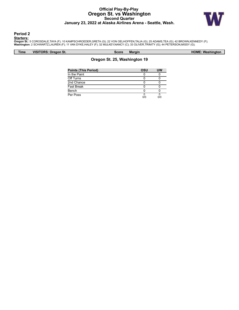# **Official Play-By-Play Oregon St. vs Washington Second Quarter January 23, 2022 at Alaska Airlines Arena - Seattle, Wash.**



### **Period 2**

<mark>Starters:</mark><br>Oregon St.: 5 COROSDALE,TAYA (F); 10 KAMPSCHROEDER,GRETA (G); 22 VON OELHOFFEN,TALIA (G); 25 ADAMS,TEA (G); 42 BROWN,KENNEDY (F);<br>**Washington**: 2 SCHWARTZ,LAUREN (F); 11 VAN DYKE,HALEY (F); 32 MULKEY,NANCY (C);

**Time VISITORS: Oregon St. Score Margin HOME: Washington**

| <b>Points (This Period)</b> | OSU | UW  |
|-----------------------------|-----|-----|
| In the Paint                |     |     |
| Off Turns                   |     |     |
| 2nd Chance                  |     |     |
| <b>Fast Break</b>           |     |     |
| Bench                       |     |     |
| Per Poss                    | 0/0 | ס/מ |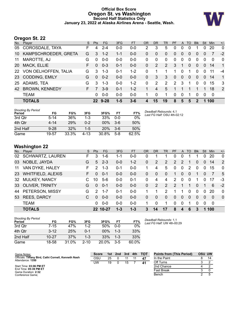# **Official Box Score Oregon St. vs Washington Second Half Statistics Only January 23, 2022 at Alaska Airlines Arena - Seattle, Wash.**



# **Oregon St. 22**

| No.       | -<br>Player             | S. | Pts      | <b>FG</b> | 3FG     | <b>FT</b> | <b>OR</b> | DR       | TR             | <b>PF</b> | $\mathsf{A}$   | TO       | <b>Blk</b>     | Stl      | <b>Min</b>  | $+/-$          |
|-----------|-------------------------|----|----------|-----------|---------|-----------|-----------|----------|----------------|-----------|----------------|----------|----------------|----------|-------------|----------------|
| 05        | COROSDALE, TAYA         | F  | 4        | $2 - 4$   | $0 - 0$ | 0-0       | 2         | 3        | 5              | 0         | 0              | 0        | 1              | 0        | 20          | 0              |
| 10        | KAMPSCHROEDER, GRETA    | G  | 3        | $1 - 2$   | $1 - 1$ | $0 - 0$   | 0         | $\Omega$ | $\mathbf{0}$   | 0         | $\overline{0}$ | $\Omega$ | 0              | $\Omega$ |             | $-2$           |
| 11        | MAROTTE, AJ             | G  | $\Omega$ | $0 - 0$   | $0 - 0$ | $0 - 0$   | 0         | 0        | 0              | 0         | 0              | $\Omega$ | $\Omega$       | $\Omega$ | $\Omega$    | 0              |
| <b>20</b> | MACK, ELLIE             | F. | $\Omega$ | $0 - 3$   | $0 - 1$ | $0 - 0$   | 0         | 2        | 2              | 3         | -1             | $\Omega$ | $\overline{0}$ | $\Omega$ | 14          | $\overline{1}$ |
|           | 22 VON OELHOFFEN, TALIA | G  | 3        | $1 - 3$   | $0 - 1$ | $1 - 2$   | 0         | 1        | 1              | 1         | $\mathbf{0}$   |          | 0              | $\Omega$ | 11          | -4             |
| <b>23</b> | <b>CODDING, EMILY</b>   | G  | $\Omega$ | $0 - 2$   | $0-0$   | $0 - 0$   | 0         | 3        | 3              | 0         | $\overline{0}$ | $\Omega$ | $\overline{0}$ | $\Omega$ | 14          | $\mathbf{1}$   |
| 25        | ADAMS, TEA              | G  | 3        | $1 - 3$   | $0-0$   | $1 - 2$   | 0         | 2        | $\overline{2}$ | 2         | 3              | 1        | 0              | $\Omega$ | 15          | 3              |
| 42        | <b>BROWN, KENNEDY</b>   | F. |          | $3-9$     | $0 - 1$ | $1 - 2$   |           | 4        | 5              |           |                |          |                |          | 18          | 2              |
|           | <b>TEAM</b>             |    | 0        | $0 - 0$   | $0 - 0$ | $0-0$     | 1         | 0        | 1.             | $\Omega$  | $\mathbf{0}$   | 1        | $\Omega$       | $\Omega$ | $\mathbf 0$ |                |
|           | <b>TOTALS</b>           |    | $22 \,$  | $9 - 28$  | $1 - 5$ | $3 - 6$   | 4         | 15       | 19             | 8         | 5              | 5        | $\overline{2}$ |          | 100         |                |

| <b>Shooting By Period</b><br>Period | FG       | FG%   | 3FG     | 3FG%  | FT    | FT%   | Deadball Rebounds: 4,1<br>Last FG Half: OSU 4th-02:12 |
|-------------------------------------|----------|-------|---------|-------|-------|-------|-------------------------------------------------------|
| 3rd Qtr                             | $5 - 14$ | 36%   | 1-3     | 33%   | 0-0   | $0\%$ |                                                       |
| 4th Qtr                             | $4 - 14$ | 29%   | $0 - 2$ | 00%   | $3-6$ | 50%   |                                                       |
| 2nd Half                            | $9 - 28$ | 32%   | $1-5$   | 20%   | $3-6$ | 50%   |                                                       |
| Game                                | 19-57    | 33.3% | 4-13    | 30.8% | $5-8$ | 62.5% |                                                       |

# **Washington 22**

|     | . <u>.</u>              |    |               |           |         |           |           |           |               |               |               |          |            |              |          |             |
|-----|-------------------------|----|---------------|-----------|---------|-----------|-----------|-----------|---------------|---------------|---------------|----------|------------|--------------|----------|-------------|
| No. | Player                  | S  | <b>Pts</b>    | <b>FG</b> | 3FG     | <b>FT</b> | <b>OR</b> | <b>DR</b> | TR            | <b>PF</b>     |               | A TO     | <b>Blk</b> | Stl          | Min.     | $+/-$       |
| 02  | <b>SCHWARTZ, LAUREN</b> | F  | 3             | 1-6       | 1-1     | $0-0$     | 0         |           |               | 0             | 0             |          |            | 0            | 20       | $\mathbf 0$ |
| 03  | NOBLE, JAYDA            | G  | 5             | $2 - 3$   | $0 - 0$ | $1 - 2$   | 0         | 2         | 2             | $\mathcal{P}$ | $\mathcal{P}$ | 1        | $\Omega$   | $\Omega$     | 14       | 2           |
| 11  | VAN DYKE, HALEY         | F  | $\mathcal{P}$ | $1 - 3$   | $0 - 1$ | $0-0$     |           | 4         | 5             | 0             | $\mathbf{0}$  | 2        | $\Omega$   | $\mathbf{0}$ | 15       | $\Omega$    |
|     | 23 WHITFIELD, ALEXIS    | F  | $\Omega$      | $0 - 1$   | $0 - 0$ | $0 - 0$   | 0         | 0         | $\mathbf{0}$  | 1             | $\Omega$      | $\Omega$ |            | $\Omega$     | 7        | 5           |
| 32  | <b>MULKEY, NANCY</b>    |    | 10            | $5-6$     | $0-0$   | $0 - 1$   | $\Omega$  | 4         | 4             | 2             | $\Omega$      | $\Omega$ |            | 0            | 17       | -3          |
|     | 33 OLIVER, TRINITY      | G  | $\Omega$      | $0 - 1$   | $0 - 0$ | $0 - 0$   | $\Omega$  | 2         | 2             | $\mathcal{P}$ |               | 1        | $\Omega$   | 1            | 6        | $-2$        |
| 44  | PETERSON, MISSY         | G  | $\mathcal{P}$ | $1 - 7$   | $0 - 1$ | $0-0$     |           |           | $\mathcal{P}$ |               |               | 0        | $\Omega$   | $\Omega$     | 20       | $\Omega$    |
|     | 53 REES, DARCY          | C. | $\Omega$      | $0 - 0$   | $0 - 0$ | $0 - 0$   | $\Omega$  | $\Omega$  | $\Omega$      | $\Omega$      | $\Omega$      | $\Omega$ | $\Omega$   | $\Omega$     | $\Omega$ | $\Omega$    |
|     | <b>TEAM</b>             |    | 0             | $0 - 0$   | $0-0$   | $0 - 0$   | 1         | $\Omega$  |               | 0             | $\Omega$      | 1        | 0          | $\Omega$     | 0        |             |
|     | <b>TOTALS</b>           |    |               | 22 10-27  | $1 - 3$ | $1 - 3$   | 3         | 14        | 17            | 8             | 4             | 6        | 3          | 1            | 100      |             |

| <b>Shooting By Period</b><br>Period | FG        | FG%   | 3FG      | 3FG%     | FТ      | FT%   |
|-------------------------------------|-----------|-------|----------|----------|---------|-------|
| 3rd Qtr                             | $7 - 15$  | 47%   | $1-2$    | 50%      | 0-0     | 0%    |
| 4th Qtr                             | $3 - 12$  | 25%   | $0 - 1$  | $00\%$   | $1 - 3$ | 33%   |
| 2nd Half                            | $10 - 27$ | 37%   | $1 - 3$  | 33%      | $1 - 3$ | 33%   |
| Game                                | 18-58     | 31.0% | $2 - 10$ | $20.0\%$ | $3 - 5$ | 60.0% |

*Deadball Rebounds:* 1,1 *Last FG Half:* UW 4th-00:29

| Game Notes:                                                              | <b>Score</b> | 1st. | 2nd | 3rd | 4th | <b>TOT</b> | <b>Points from (This Period)</b> | <b>OSU UW</b> |
|--------------------------------------------------------------------------|--------------|------|-----|-----|-----|------------|----------------------------------|---------------|
| Officials: Tiffany Bird, Cathi Cornell, Kenneth Nash<br>Attendance: 1350 | osu          | 25   |     |     |     | 47         | In the Paint                     | 14            |
|                                                                          | UW           | 19   |     | 15  |     | -41        | Off Turns                        |               |
| Start Time: 03:06 PM ET                                                  |              |      |     |     |     |            | 2nd Chance                       |               |
| End Time: 05:39 PM ET<br>Game Duration: 2:32                             |              |      |     |     |     |            | <b>Fast Break</b>                |               |
| Conference Game:                                                         |              |      |     |     |     |            | Bench                            |               |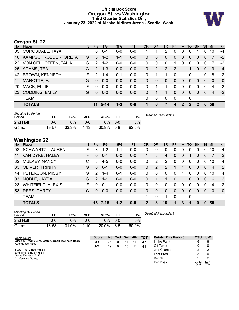### **Official Box Score Oregon St. vs Washington Third Quarter Statistics Only January 23, 2022 at Alaska Airlines Arena - Seattle, Wash.**



# **Oregon St. 22**

| No.       | -<br>Player           | S | <b>Pts</b>    | FG.      | 3FG     | <b>FT</b> | <b>OR</b> | DR           | TR           | <b>PF</b>     | A            | TO           | <b>B</b> lk  | Stl            | <b>Min</b> | $+/-$       |
|-----------|-----------------------|---|---------------|----------|---------|-----------|-----------|--------------|--------------|---------------|--------------|--------------|--------------|----------------|------------|-------------|
| 05        | COROSDALE, TAYA       | F | 0             | $0 - 1$  | $0 - 0$ | $0 - 0$   |           |              | 2            | 0             | 0            | 0            |              | 0              | 10         | $-4$        |
| 10        | KAMPSCHROEDER, GRETA  | G | 3             | $1 - 2$  | $1 - 1$ | $0-0$     | 0         | $\Omega$     | 0            | 0             | $\mathbf 0$  | 0            | $\Omega$     | $\overline{0}$ | 7          | $-2$        |
| <b>22</b> | VON OELHOFFEN, TALIA  | G | $\mathcal{P}$ | $1 - 2$  | $0-0$   | $0-0$     | 0         | $\Omega$     | 0            | 1             | $\mathbf 0$  | 0            | $\mathbf{0}$ | $\Omega$       |            | $-2$        |
| 25        | ADAMS, TEA            | G | $\mathcal{P}$ | $1 - 3$  | $0 - 0$ | $0 - 0$   | 0         | 2            | 2            | $\mathcal{P}$ |              | 1            | $\Omega$     | $\Omega$       | 9          | $-4$        |
| 42        | <b>BROWN, KENNEDY</b> | F | 2             | $1 - 4$  | $0 - 1$ | $0-0$     | 0         | 1            | 1            | $\Omega$      |              | 0            | 1            | 0              | 8          | $-2$        |
| 11        | MAROTTE, AJ           | G | $\Omega$      | $0 - 0$  | $0 - 0$ | $0 - 0$   | 0         | $\Omega$     | $\mathbf{0}$ | $\Omega$      | $\Omega$     | $\Omega$     | $\Omega$     | $\Omega$       | $\Omega$   | $\mathbf 0$ |
| 20        | <b>MACK, ELLIE</b>    | F | 0             | $0 - 0$  | $0 - 0$ | $0 - 0$   | 0         | 1            | 1            | 0             | $\mathbf 0$  | 0            | 0            | $\Omega$       | 4          | $-2$        |
| 23        | <b>CODDING, EMILY</b> | G | $\Omega$      | $0 - 0$  | $0-0$   | $0-0$     | 0         |              | 1            | 0             | $\mathbf{0}$ | $\Omega$     | $\Omega$     | $\Omega$       | 4          | $-2$        |
|           | <b>TEAM</b>           |   |               |          |         |           | 0         | $\mathbf{0}$ | 0            | 0             |              | 0            |              |                |            |             |
|           | <b>TOTALS</b>         |   | 11            | $5 - 14$ | $1 - 3$ | $0 - 0$   |           | 6            | 7            | 4             | $\mathbf{2}$ | $\mathbf{c}$ | 2            | $\Omega$       | 50         |             |
|           |                       |   |               |          |         |           |           |              |              |               |              |              |              |                |            |             |

| <b>Shooting By Period</b><br>Period | FG    | FG%   | 3FG      | 3FG%  | FT.     | FT%   | Deadball Rebounds: 4,1 |
|-------------------------------------|-------|-------|----------|-------|---------|-------|------------------------|
| 2nd Half                            | 0-0   | 0%    | 0-0      | ገ%    | $0 - 0$ | 0%    |                        |
| Game                                | 19-57 | 33.3% | $4 - 13$ | 30.8% | $5-8$   | 62.5% |                        |

# **Washington 22**

| No.       | Player                   | S  | <b>Pts</b>    | FG.       | 3FG     | <b>FT</b> | <b>OR</b>     | <b>DR</b> | TR       | <b>PF</b>   | A            | TO.      | <b>Blk</b>   | <b>Stl</b>     | Min            | $+/-$          |
|-----------|--------------------------|----|---------------|-----------|---------|-----------|---------------|-----------|----------|-------------|--------------|----------|--------------|----------------|----------------|----------------|
| 02        | <b>SCHWARTZ, LAUREN</b>  | F. | 3             | $1 - 2$   | $1 - 1$ | $0-0$     | 0             | 0         | 0        | 0           | 0            | 0        | 0            | 0              | 10             | 4              |
| 11        | VAN DYKE, HALEY          | F. | 0             | $0 - 1$   | $0 - 0$ | $0-0$     | $\mathbf 1$   | 3         | 4        | 0           | 0            |          | 0            | $\overline{0}$ | 7              | 2              |
| 32        | <b>MULKEY, NANCY</b>     | C  | 8             | $4 - 5$   | $0 - 0$ | $0-0$     | 0             | 2         | 2        | $\Omega$    | $\mathbf{0}$ | $\Omega$ | $\Omega$     | $\Omega$       | 10             | $\overline{4}$ |
| 33        | <b>OLIVER, TRINITY</b>   | G  | $\Omega$      | $0 - 1$   | $0 - 0$ | $0-0$     | 0             | 2         | 2        | 1           | 1            | $\Omega$ | $\Omega$     | $\Omega$       | $\overline{4}$ | 2              |
|           | 44 PETERSON, MISSY       | G  | 2             | $1 - 4$   | $0 - 1$ | $0-0$     | 0             | 0         | $\Omega$ | $\Omega$    |              | $\Omega$ | $\Omega$     | 0              | 10             | $\overline{4}$ |
| 03        | NOBLE, JAYDA             | G  | $\mathcal{P}$ | $1 - 1$   | $0 - 0$ | $0 - 0$   | $\mathbf{0}$  |           | 1        | $\Omega$    | 1            | $\Omega$ | $\mathbf{0}$ | $\overline{0}$ | 6              | 2              |
| <b>23</b> | <b>WHITFIELD, ALEXIS</b> | F  | $\Omega$      | $0 - 1$   | $0 - 0$ | $0-0$     | 0             | 0         | $\Omega$ | 0           | $\Omega$     | 0        | $\Omega$     | 0              | 4              | 2              |
| 53        | <b>REES, DARCY</b>       | C  | $\Omega$      | $0 - 0$   | $0 - 0$ | $0 - 0$   | 0             | $\Omega$  | $\Omega$ | $\Omega$    | $\Omega$     | $\Omega$ | $\Omega$     | $\Omega$       | $\Omega$       | $\Omega$       |
|           | <b>TEAM</b>              |    |               |           |         |           | 1             | 0         | 1        | $\mathbf 0$ |              | 0        |              |                |                |                |
|           | <b>TOTALS</b>            |    |               | $15$ 7-15 | $1 - 2$ | $0 - 0$   | $\mathcal{P}$ | 8         | 10       | 1           | 3            | 1        | $\bf{0}$     | $\mathbf{0}$   | 50             |                |

| <b>Shooting By Period</b><br>Period | FG    | FG%   | 3FG      | 3FG%  | <b>FT</b> | FT%   | Deadball Rebounds: 1,1 |
|-------------------------------------|-------|-------|----------|-------|-----------|-------|------------------------|
| 2nd Half                            | 0-0   | 0%    | 0-0      | 0%    | $0 - 0$   | 0%    |                        |
| Game                                | 18-58 | 31.0% | $2 - 10$ | 20.0% | $3-5$     | 60.0% |                        |

| Game Notes:                                                              | <b>Score</b> |    | 1st 2nd 3rd |    | 4th | тот | <b>Points (This Period)</b> | OSU           | <b>UW</b>     |
|--------------------------------------------------------------------------|--------------|----|-------------|----|-----|-----|-----------------------------|---------------|---------------|
| Officials: Tiffany Bird, Cathi Cornell, Kenneth Nash<br>Attendance: 1350 | OSU          | 25 |             |    |     | 47  | In the Paint                |               |               |
|                                                                          | UW           | 19 |             | 15 |     | 41  | Off Turns                   |               |               |
| Start Time: 03:06 PM ET                                                  |              |    |             |    |     |     | 2nd Chance                  |               |               |
| End Time: 05:39 PM ET<br>Game Duration: 2:32                             |              |    |             |    |     |     | <b>Fast Break</b>           |               |               |
| Conference Game:                                                         |              |    |             |    |     |     | Bench                       |               |               |
|                                                                          |              |    |             |    |     |     | Per Poss                    | 0.733<br>5/15 | 1.071<br>7/14 |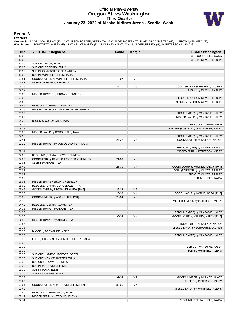# **Official Play-By-Play Oregon St. vs Washington Third Quarter January 23, 2022 at Alaska Airlines Arena - Seattle, Wash.**



### **Period 3**

<mark>Starters:</mark><br>Oregon St.: 5 COROSDALE,TAYA (F); 10 KAMPSCHROEDER,GRETA (G); 22 VON OELHOFFEN,TALIA (G); 25 ADAMS,TEA (G); 42 BROWN,KENNEDY (F);<br>**Washington**: 2 SCHWARTZ,LAUREN (F); 11 VAN DYKE,HALEY (F); 32 MULKEY,NANCY (C);

| Time           | <b>VISITORS: Oregon St.</b>                                  | <b>Score</b> | <b>Margin</b>  | <b>HOME: Washington</b>                                         |
|----------------|--------------------------------------------------------------|--------------|----------------|-----------------------------------------------------------------|
| 10:00          |                                                              |              |                | SUB OUT: NOBLE, JAYDA                                           |
| 10:00          |                                                              |              |                | SUB IN: OLIVER, TRINITY                                         |
| 10:00          | SUB OUT: MACK, ELLIE                                         |              |                |                                                                 |
| 10:00          | SUB OUT: CODDING, EMILY                                      |              |                |                                                                 |
| 10:00<br>10:00 | SUB IN: KAMPSCHROEDER, GRETA<br>SUB IN: VON OELHOFFEN, TALIA |              |                |                                                                 |
| 09:51          | GOOD! JUMPER by VON OELHOFFEN, TALIA                         | 19-27        | V8             |                                                                 |
| 09:51          | ASSIST by BROWN, KENNEDY                                     |              |                |                                                                 |
| 09:39          |                                                              | 22-27        | V <sub>5</sub> | GOOD! 3PTR by SCHWARTZ, LAUREN                                  |
| 09:39          |                                                              |              |                | ASSIST by OLIVER, TRINITY                                       |
| 09:09          | MISSED JUMPER by BROWN, KENNEDY                              |              |                |                                                                 |
| 09:05          |                                                              |              |                | REBOUND (DEF) by OLIVER, TRINITY                                |
| 08:52          |                                                              |              |                | MISSED JUMPER by OLIVER, TRINITY                                |
| 08:49          | REBOUND (DEF) by ADAMS, TEA                                  |              |                |                                                                 |
| 08:39          | MISSED LAYUP by KAMPSCHROEDER, GRETA                         |              |                |                                                                 |
| 08:37          |                                                              |              |                | REBOUND (DEF) by VAN DYKE, HALEY                                |
| 08:22          |                                                              |              |                | MISSED LAYUP by VAN DYKE, HALEY                                 |
| 08:22<br>08:19 | BLOCK by COROSDALE, TAYA                                     |              |                |                                                                 |
| 08:17          |                                                              |              |                | REBOUND (OFF) by TEAM<br>TURNOVER (LOSTBALL) by VAN DYKE, HALEY |
| 08:00          | MISSED LAYUP by COROSDALE, TAYA                              |              |                |                                                                 |
| 07:58          |                                                              |              |                | REBOUND (DEF) by VAN DYKE, HALEY                                |
| 07:41          |                                                              | 24-27        | $V_3$          | GOOD! JUMPER by MULKEY, NANCY                                   |
| 07:22          | MISSED JUMPER by VON OELHOFFEN, TALIA                        |              |                |                                                                 |
| 07:19          |                                                              |              |                | REBOUND (DEF) by OLIVER, TRINITY                                |
| 07:14          |                                                              |              |                | MISSED 3PTR by PETERSON, MISSY                                  |
| 07:09          | REBOUND (DEF) by BROWN, KENNEDY                              |              |                |                                                                 |
| 07:05          | GOOD! 3PTR by KAMPSCHROEDER, GRETA [FB]                      | 24-30        | $V_6$          |                                                                 |
| 07:05          | ASSIST by ADAMS, TEA                                         |              |                |                                                                 |
| 06:40          |                                                              | 26-30        | V <sub>4</sub> | GOOD! LAYUP by MULKEY, NANCY [PNT]                              |
| 06:09          |                                                              |              |                | FOUL (PERSONAL) by OLIVER, TRINITY                              |
| 06:09          |                                                              |              |                | SUB OUT: OLIVER, TRINITY                                        |
| 06:09<br>06:06 | MISSED 3PTR by BROWN, KENNEDY                                |              |                | SUB IN: NOBLE, JAYDA                                            |
| 06:02          | REBOUND (OFF) by COROSDALE, TAYA                             |              |                |                                                                 |
| 05:45          | GOOD! LAYUP by BROWN, KENNEDY [PNT]                          | 26-32        | $V_6$          |                                                                 |
| 05:25          |                                                              | 28-32        | V <sub>4</sub> | GOOD! LAYUP by NOBLE, JAYDA [PNT]                               |
| 05:08          | GOOD! JUMPER by ADAMS, TEA [PNT]                             | 28-34        | $V_6$          |                                                                 |
| 04:45          |                                                              |              |                | MISSED JUMPER by PETERSON, MISSY                                |
| 04:42          | REBOUND (DEF) by ADAMS, TEA                                  |              |                |                                                                 |
| 04:38          | MISSED JUMPER by ADAMS, TEA                                  |              |                |                                                                 |
| 04:36          |                                                              |              |                | REBOUND (DEF) by VAN DYKE, HALEY                                |
| 04:28          |                                                              | 30-34        | V <sub>4</sub> | GOOD! LAYUP by MULKEY, NANCY [PNT]                              |
| 04:00          | MISSED JUMPER by ADAMS, TEA                                  |              |                |                                                                 |
| 03:57          |                                                              |              |                | REBOUND (DEF) by MULKEY, NANCY                                  |
| 03:38<br>03:38 | BLOCK by BROWN, KENNEDY                                      |              |                | MISSED LAYUP by SCHWARTZ, LAUREN                                |
| 03:35          |                                                              |              |                | REBOUND (OFF) by VAN DYKE, HALEY                                |
| 03:30          | FOUL (PERSONAL) by VON OELHOFFEN, TALIA                      |              |                |                                                                 |
| 03:30          |                                                              |              |                |                                                                 |
| 03:30          |                                                              |              |                | SUB OUT: VAN DYKE, HALEY                                        |
| 03:30          |                                                              |              |                | SUB IN: WHITFIELD, ALEXIS                                       |
| 03:30          | SUB OUT: KAMPSCHROEDER, GRETA                                |              |                |                                                                 |
| 03:30          | SUB OUT: VON OELHOFFEN, TALIA                                |              |                |                                                                 |
| 03:30          | SUB OUT: BROWN, KENNEDY                                      |              |                |                                                                 |
| 03:30          | SUB IN: MITROVIC, JELENA                                     |              |                |                                                                 |
| 03:30          | SUB IN: MACK, ELLIE                                          |              |                |                                                                 |
| 03:30          | SUB IN: CODDING, EMILY                                       |              |                |                                                                 |
| 03:27          |                                                              | 32-34        | V <sub>2</sub> | GOOD! JUMPER by MULKEY, NANCY                                   |
| 03:27<br>03:04 | GOOD! JUMPER by MITROVIC, JELENA [PNT]                       | 32-36        | V <sub>4</sub> | ASSIST by PETERSON, MISSY                                       |
| 02:42          |                                                              |              |                | MISSED LAYUP by WHITFIELD, ALEXIS                               |
| 02:40          | REBOUND (DEF) by MACK, ELLIE                                 |              |                |                                                                 |
| 02:19          | MISSED 3PTR by MITROVIC, JELENA                              |              |                |                                                                 |
| 02:14          |                                                              |              |                | REBOUND (DEF) by NOBLE, JAYDA                                   |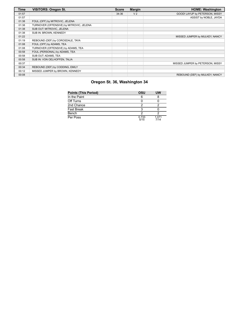| Time  | <b>VISITORS: Oregon St.</b>              | <b>Score</b> | <b>Margin</b>  | <b>HOME: Washington</b>          |
|-------|------------------------------------------|--------------|----------------|----------------------------------|
| 01:57 |                                          | 34-36        | V <sub>2</sub> | GOOD! LAYUP by PETERSON, MISSY   |
| 01:57 |                                          |              |                | ASSIST by NOBLE, JAYDA           |
| 01:38 | FOUL (OFF) by MITROVIC, JELENA           |              |                |                                  |
| 01:38 | TURNOVER (OFFENSIVE) by MITROVIC, JELENA |              |                |                                  |
| 01:38 | SUB OUT: MITROVIC, JELENA                |              |                |                                  |
| 01:38 | SUB IN: BROWN, KENNEDY                   |              |                |                                  |
| 01:22 |                                          |              |                | MISSED JUMPER by MULKEY, NANCY   |
| 01:19 | REBOUND (DEF) by COROSDALE, TAYA         |              |                |                                  |
| 01:08 | FOUL (OFF) by ADAMS, TEA                 |              |                |                                  |
| 01:08 | TURNOVER (OFFENSIVE) by ADAMS, TEA       |              |                |                                  |
| 00:58 | FOUL (PERSONAL) by ADAMS, TEA            |              |                |                                  |
| 00:58 | SUB OUT: ADAMS, TEA                      |              |                |                                  |
| 00:58 | SUB IN: VON OELHOFFEN, TALIA             |              |                |                                  |
| 00:37 |                                          |              |                | MISSED JUMPER by PETERSON, MISSY |
| 00:34 | REBOUND (DEF) by CODDING, EMILY          |              |                |                                  |
| 00:12 | MISSED JUMPER by BROWN, KENNEDY          |              |                |                                  |
| 00:08 |                                          |              |                | REBOUND (DEF) by MULKEY, NANCY   |

| <b>Points (This Period)</b> | OSU           | UW            |
|-----------------------------|---------------|---------------|
| In the Paint                |               |               |
| Off Turns                   |               |               |
| 2nd Chance                  |               |               |
| <b>Fast Break</b>           |               |               |
| Bench                       |               |               |
| Per Poss                    | 0.733<br>5/15 | 1.071<br>7/14 |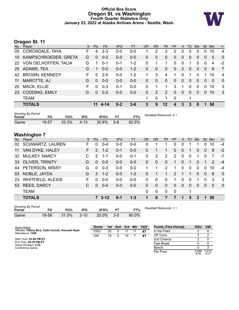### **Official Box Score Oregon St. vs Washington Fourth Quarter Statistics Only January 23, 2022 at Alaska Airlines Arena - Seattle, Wash.**



# **Oregon St. 11**

| No.    | Player                    |       |       | S        | <b>Pts</b> | FG       | 3FG       | <b>FT</b> | <b>OR</b>    | <b>DR</b>              | <b>TR</b>    | PF          | A           | TO          | <b>Blk</b>   | <b>Stl</b>   | Min            | $+/-$          |
|--------|---------------------------|-------|-------|----------|------------|----------|-----------|-----------|--------------|------------------------|--------------|-------------|-------------|-------------|--------------|--------------|----------------|----------------|
| 05     | COROSDALE, TAYA           |       |       | F        | 4          | $2 - 3$  | $0-0$     | $0-0$     |              | 2                      | 3            | $\Omega$    | 0           | 0           | $\Omega$     | 0            | 10             | 4              |
| 10     | KAMPSCHROEDER, GRETA      |       |       | G        | 0          | $0 - 0$  | $0 - 0$   | $0-0$     | $\mathbf 0$  | $\mathbf 0$            | $\mathbf 0$  | $\Omega$    | $\Omega$    | 0           | $\Omega$     | 0            | $\overline{0}$ | $\overline{0}$ |
| 22     | VON OELHOFFEN, TALIA      |       |       | G        | 1.         | $0 - 1$  | $0 - 1$   | $1 - 2$   | $\mathbf 0$  | 1                      | 1            | $\Omega$    | 0           | 1           | $\Omega$     | 0            | 4              | $-2$           |
| 25     | ADAMS, TEA                |       |       | G        |            | $0 - 0$  | $0 - 0$   | $1 - 2$   | $\mathbf{0}$ | $\mathbf 0$            | $\mathbf{0}$ | $\Omega$    | 2           | $\Omega$    | $\mathbf{0}$ | $\Omega$     | 6              | $\overline{7}$ |
| 42     | <b>BROWN, KENNEDY</b>     |       |       | F        | 5          | $2 - 5$  | $0-0$     | $1 - 2$   | 1            | 3                      | 4            |             | 0           | 1           | 0            | 1            | 10             | 4              |
| 11     | MAROTTE, AJ               |       |       | G        | 0          | $0-0$    | $0 - 0$   | $0 - 0$   | $\mathbf{0}$ | $\mathbf 0$            | $\mathbf{0}$ | $\Omega$    | $\mathbf 0$ | $\mathbf 0$ | $\mathbf{0}$ | $\Omega$     | $\mathbf 0$    | $\mathbf 0$    |
| 20     | MACK, ELLIE               |       |       | F        | 0          | $0 - 3$  | $0 - 1$   | $0-0$     | 0            | 1                      | 1            | 3           | 1           | 0           | 0            | 0            | 10             | 3              |
| 23     | <b>CODDING, EMILY</b>     |       |       | G        | 0          | $0 - 2$  | $0-0$     | $0 - 0$   | $\mathbf{0}$ | 2                      | 2            | $\mathbf 0$ | $\mathbf 0$ | $\mathbf 0$ | $\Omega$     | $\mathbf{0}$ | 10             | 3              |
|        | <b>TEAM</b>               |       |       |          |            |          |           |           | 1            | 0                      | 1            | 0           |             | 1           |              |              |                |                |
|        | <b>TOTALS</b>             |       |       |          | 11         | $4 - 14$ | $0 - 2$   | $3 - 6$   | 3            | 9                      | 12           | 4           | 3           | 3           | $\mathbf{0}$ | 1            | 50             |                |
| Period | <b>Shooting By Period</b> | FG    | FG%   | 3FG      |            | 3FG%     | <b>FT</b> | FT%       |              | Deadball Rebounds: 4.1 |              |             |             |             |              |              |                |                |
| Game   |                           | 19-57 | 33.3% | $4 - 13$ |            | 30.8%    | $5 - 8$   | 62.5%     |              |                        |              |             |             |             |              |              |                |                |

# **Washington 7**

| No. | Player                   | S  | Pts           | <b>FG</b> | 3FG     | <b>FT</b> | <b>OR</b> | <b>DR</b>    | TR           | <b>PF</b> | A            | TO       | <b>Blk</b> | <b>Stl</b>     | Min      | $+/-$        |
|-----|--------------------------|----|---------------|-----------|---------|-----------|-----------|--------------|--------------|-----------|--------------|----------|------------|----------------|----------|--------------|
| 02  | <b>SCHWARTZ, LAUREN</b>  | F  | $\Omega$      | $0 - 4$   | $0 - 0$ | $0 - 0$   | 0         |              |              | 0         | 0            |          |            | 0              | 10       | -4           |
| 11  | VAN DYKE, HALEY          | F. | $\mathcal{P}$ | $1 - 2$   | $0 - 1$ | $0-0$     | $\Omega$  |              |              | 0         | 0            |          | 0          | 0              | 8        | $-2$         |
| 32  | <b>MULKEY, NANCY</b>     | C. | 2             | 1-1       | $0-0$   | $0 - 1$   | 0         | 2            | 2            | 2         | $\mathbf{0}$ | 0        |            | 0              |          | -7           |
| 33  | <b>OLIVER, TRINITY</b>   | G  | $\Omega$      | $0 - 0$   | $0 - 0$ | $0-0$     | $\Omega$  | $\mathbf{0}$ | $\mathbf{0}$ | 1         | $\mathbf{0}$ |          | $\Omega$   |                | 2        | $-4$         |
| 44  | PETERSON, MISSY          | G  | $\Omega$      | $0 - 3$   | $0-0$   | $0 - 0$   | 1         | 1            | 2            | 1         | $\Omega$     | $\Omega$ | $\Omega$   | $\Omega$       | 10       | $-4$         |
| 03  | NOBLE, JAYDA             | G  | 3             | $1 - 2$   | $0 - 0$ | $1 - 2$   | 0         |              | 1            | 2         |              |          | $\Omega$   | $\mathbf{0}$   | 8        | $\Omega$     |
| 23  | <b>WHITFIELD, ALEXIS</b> | F. | $\Omega$      | $0 - 0$   | $0-0$   | $0 - 0$   | $\Omega$  | $\Omega$     | $\Omega$     | 1         | $\Omega$     | $\Omega$ | 1          | 0              | 3        | 3            |
| 53  | <b>REES, DARCY</b>       | C  | $\Omega$      | $0 - 0$   | $0 - 0$ | $0 - 0$   | $\Omega$  | 0            | $\Omega$     | 0         | $\mathbf{0}$ | $\Omega$ | $\Omega$   | $\overline{0}$ | $\Omega$ | $\mathbf{0}$ |
|     | <b>TEAM</b>              |    |               |           |         |           | $\Omega$  | 0            | $\Omega$     | 0         |              | 1        |            |                |          |              |
|     | <b>TOTALS</b>            |    |               | $73 - 12$ | $0 - 1$ | $1 - 3$   |           | 6            |              | 7         | 1            | 5        | 3          | 1              | 50       |              |
|     |                          |    |               |           |         |           |           |              |              |           |              |          |            |                |          |              |

| <b>Shooting By Period</b><br>Period | FG    | FG%   | 3FG      | 3FG%  | FТ      | FT%   |
|-------------------------------------|-------|-------|----------|-------|---------|-------|
| Game                                | 18-58 | 31.0% | $2 - 10$ | 20.0% | $3 - 5$ | 60.0% |

*Deadball Rebounds:* 1,1

| Game Notes:                                                              | <b>Score</b> | 1st l | 2nd | -3rd | 4th | тот | <b>Points (This Period)</b> | OSU           | UW            |
|--------------------------------------------------------------------------|--------------|-------|-----|------|-----|-----|-----------------------------|---------------|---------------|
| Officials: Tiffany Bird, Cathi Cornell, Kenneth Nash<br>Attendance: 1350 | OSL          | 25    |     | 11   |     | 47  | In the Paint                |               |               |
|                                                                          | UW           | 19    |     | 15   |     | 41  | Off Turns                   |               | ົ             |
| Start Time: 03:06 PM ET                                                  |              |       |     |      |     |     | 2nd Chance                  |               |               |
| End Time: 05:39 PM ET<br>Game Duration: 2:32                             |              |       |     |      |     |     | <b>Fast Break</b>           |               |               |
| Conference Game:                                                         |              |       |     |      |     |     | Bench                       |               |               |
|                                                                          |              |       |     |      |     |     | Per Poss                    | 0.688<br>6/16 | 0.412<br>4/17 |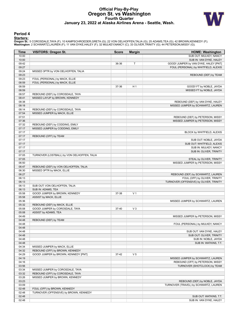# **Official Play-By-Play Oregon St. vs Washington Fourth Quarter January 23, 2022 at Alaska Airlines Arena - Seattle, Wash.**



### **Period 4**

<mark>Starters:</mark><br>Oregon St.: 5 COROSDALE,TAYA (F); 10 KAMPSCHROEDER,GRETA (G); 22 VON OELHOFFEN,TALIA (G); 25 ADAMS,TEA (G); 42 BROWN,KENNEDY (F);<br>**Washington**: 2 SCHWARTZ,LAUREN (F); 11 VAN DYKE,HALEY (F); 32 MULKEY,NANCY (C);

| Time           | <b>VISITORS: Oregon St.</b>                 | <b>Score</b> | <b>Margin</b>  | <b>HOME: Washington</b>                 |
|----------------|---------------------------------------------|--------------|----------------|-----------------------------------------|
| 10:00          |                                             |              |                | SUB OUT: MULKEY, NANCY                  |
| 10:00          |                                             |              |                | SUB IN: VAN DYKE, HALEY                 |
| 09:42          |                                             | 36-36        | T              | GOOD! JUMPER by VAN DYKE, HALEY [PNT]   |
| 09:27          |                                             |              |                | FOUL (PERSONAL) by WHITFIELD, ALEXIS    |
| 09:24          | MISSED 3PTR by VON OELHOFFEN, TALIA         |              |                |                                         |
| 09:23          |                                             |              |                | REBOUND (DEF) by TEAM                   |
| 09:23          | FOUL (PERSONAL) by MACK, ELLIE              |              |                |                                         |
| 08:59          | FOUL (PERSONAL) by MACK, ELLIE              |              |                |                                         |
| 08:59          |                                             | 37-36        | H <sub>1</sub> | GOOD! FT by NOBLE, JAYDA                |
| 08:59          |                                             |              |                | MISSED FT by NOBLE, JAYDA               |
| 08:57          | REBOUND (DEF) by COROSDALE, TAYA            |              |                |                                         |
| 08:41          | MISSED LAYUP by BROWN, KENNEDY              |              |                |                                         |
| 08:38          |                                             |              |                | REBOUND (DEF) by VAN DYKE, HALEY        |
| 08:18          |                                             |              |                | MISSED JUMPER by SCHWARTZ, LAUREN       |
| 08:14          | REBOUND (DEF) by COROSDALE, TAYA            |              |                |                                         |
| 07:54          | MISSED JUMPER by MACK, ELLIE                |              |                |                                         |
| 07:51          |                                             |              |                | REBOUND (DEF) by PETERSON, MISSY        |
| 07:36          |                                             |              |                | MISSED JUMPER by PETERSON, MISSY        |
| 07:32          | REBOUND (DEF) by CODDING, EMILY             |              |                |                                         |
| 07:17          | MISSED JUMPER by CODDING, EMILY             |              |                |                                         |
| 07:17          |                                             |              |                | BLOCK by WHITFIELD, ALEXIS              |
| 07:17          | REBOUND (OFF) by TEAM                       |              |                |                                         |
| 07:17          |                                             |              |                | SUB OUT: NOBLE, JAYDA                   |
| 07:17          |                                             |              |                | SUB OUT: WHITFIELD, ALEXIS              |
| 07:17          |                                             |              |                | SUB IN: MULKEY, NANCY                   |
| 07:17          |                                             |              |                | SUB IN: OLIVER, TRINITY                 |
| 07:05          | TURNOVER (LOSTBALL) by VON OELHOFFEN, TALIA |              |                |                                         |
| 07:05          |                                             |              |                | STEAL by OLIVER, TRINITY                |
| 06:50          |                                             |              |                | MISSED JUMPER by PETERSON, MISSY        |
| 06:47          | REBOUND (DEF) by VON OELHOFFEN, TALIA       |              |                |                                         |
| 06:30          | MISSED 3PTR by MACK, ELLIE                  |              |                |                                         |
| 06:27          |                                             |              |                | REBOUND (DEF) by SCHWARTZ, LAUREN       |
| 06:13          |                                             |              |                | FOUL (OFF) by OLIVER, TRINITY           |
| 06:13<br>06:13 | SUB OUT: VON OELHOFFEN, TALIA               |              |                | TURNOVER (OFFENSIVE) by OLIVER, TRINITY |
| 06:13          | SUB IN: ADAMS, TEA                          |              |                |                                         |
| 05:58          | GOOD! JUMPER by BROWN, KENNEDY              | 37-38        | V <sub>1</sub> |                                         |
| 05:58          | ASSIST by MACK, ELLIE                       |              |                |                                         |
| 05:36          |                                             |              |                | MISSED JUMPER by SCHWARTZ, LAUREN       |
| 05:32          | REBOUND (DEF) by MACK, ELLIE                |              |                |                                         |
| 05:08          | GOOD! JUMPER by COROSDALE, TAYA             | 37-40        | $V_3$          |                                         |
| 05:08          | ASSIST by ADAMS, TEA                        |              |                |                                         |
| 04:49          |                                             |              |                | MISSED JUMPER by PETERSON, MISSY        |
| 04:48          | REBOUND (DEF) by TEAM                       |              |                |                                         |
| 04:48          |                                             |              |                | FOUL (PERSONAL) by MULKEY, NANCY        |
| 04:48          |                                             |              |                |                                         |
| 04:48          |                                             |              |                | SUB OUT: VAN DYKE, HALEY                |
| 04:48          |                                             |              |                | SUB OUT: OLIVER, TRINITY                |
| 04:48          |                                             |              |                | SUB IN: NOBLE, JAYDA                    |
| 04:48          |                                             |              |                | SUB IN: WATKINS, T.T.                   |
| 04:34          | MISSED JUMPER by MACK, ELLIE                |              |                |                                         |
| 04:32          | REBOUND (OFF) by BROWN, KENNEDY             |              |                |                                         |
| 04:29          | GOOD! JUMPER by BROWN, KENNEDY [PNT]        | 37-42        | V <sub>5</sub> |                                         |
| 04:19          |                                             |              |                | MISSED JUMPER by SCHWARTZ, LAUREN       |
| 04:16          |                                             |              |                | REBOUND (OFF) by PETERSON, MISSY        |
| 03:56          |                                             |              |                | TURNOVER (SHOTCLOCK) by TEAM            |
| 03:34          | MISSED JUMPER by COROSDALE, TAYA            |              |                |                                         |
| 03:32          | REBOUND (OFF) by COROSDALE, TAYA            |              |                |                                         |
| 03:26          | MISSED JUMPER by BROWN, KENNEDY             |              |                |                                         |
| 03:23          |                                             |              |                | REBOUND (DEF) by NOBLE, JAYDA           |
| 03:09          |                                             |              |                | TURNOVER (TRAVEL) by SCHWARTZ, LAUREN   |
| 02:48          | FOUL (OFF) by BROWN, KENNEDY                |              |                |                                         |
| 02:48          | TURNOVER (OFFENSIVE) by BROWN, KENNEDY      |              |                |                                         |
| 02:48          |                                             |              |                | SUB OUT: WATKINS, T.T.                  |
| 02:48          |                                             |              |                | SUB IN: VAN DYKE, HALEY                 |
|                |                                             |              |                |                                         |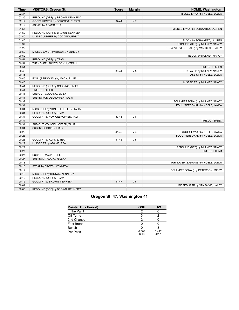| <b>Time</b> | <b>VISITORS: Oregon St.</b>       | <b>Score</b> | <b>Margin</b>  | <b>HOME: Washington</b>                |
|-------------|-----------------------------------|--------------|----------------|----------------------------------------|
| 02:37       |                                   |              |                | MISSED LAYUP by NOBLE, JAYDA           |
| 02:35       | REBOUND (DEF) by BROWN, KENNEDY   |              |                |                                        |
| 02:12       | GOOD! JUMPER by COROSDALE, TAYA   | $37 - 44$    | V <sub>7</sub> |                                        |
| 02:12       | ASSIST by ADAMS, TEA              |              |                |                                        |
| 01:55       |                                   |              |                | MISSED LAYUP by SCHWARTZ, LAUREN       |
| 01:52       | REBOUND (DEF) by BROWN, KENNEDY   |              |                |                                        |
| 01:40       | MISSED JUMPER by CODDING, EMILY   |              |                |                                        |
| 01:40       |                                   |              |                | BLOCK by SCHWARTZ, LAUREN              |
| 01:37       |                                   |              |                | REBOUND (DEF) by MULKEY, NANCY         |
| 01:22       |                                   |              |                | TURNOVER (LOSTBALL) by VAN DYKE, HALEY |
| 00:52       | MISSED LAYUP by BROWN, KENNEDY    |              |                |                                        |
| 00:52       |                                   |              |                | BLOCK by MULKEY, NANCY                 |
| 00:51       | REBOUND (OFF) by TEAM             |              |                |                                        |
| 00:51       | TURNOVER (SHOTCLOCK) by TEAM      |              |                |                                        |
| 00:51       |                                   |              |                | TIMEOUT 30SEC                          |
| 00:45       |                                   | 39-44        | V <sub>5</sub> | GOOD! LAYUP by MULKEY, NANCY           |
| 00:45       |                                   |              |                | ASSIST by NOBLE, JAYDA                 |
| 00:45       | FOUL (PERSONAL) by MACK, ELLIE    |              |                |                                        |
| 00:45       |                                   |              |                | MISSED FT by MULKEY, NANCY             |
| 00:41       | REBOUND (DEF) by CODDING, EMILY   |              |                |                                        |
| 00:41       | TIMEOUT 30SEC                     |              |                |                                        |
| 00:41       | SUB OUT: CODDING, EMILY           |              |                |                                        |
| 00:41       | SUB IN: VON OELHOFFEN, TALIA      |              |                |                                        |
| 00:37       |                                   |              |                | FOUL (PERSONAL) by MULKEY, NANCY       |
| 00:34       |                                   |              |                | FOUL (PERSONAL) by NOBLE, JAYDA        |
| 00:34       | MISSED FT by VON OELHOFFEN, TALIA |              |                |                                        |
| 00:34       | REBOUND (OFF) by TEAM             |              |                |                                        |
| 00:34       | GOOD! FT by VON OELHOFFEN, TALIA  | 39-45        | $V_6$          |                                        |
| 00:34       |                                   |              |                | TIMEOUT 30SEC                          |
| 00:34       | SUB OUT: VON OELHOFFEN, TALIA     |              |                |                                        |
| 00:34       | SUB IN: CODDING, EMILY            |              |                |                                        |
| 00:29       |                                   | 41-45        | V <sub>4</sub> | GOOD! LAYUP by NOBLE, JAYDA            |
| 00:28       |                                   |              |                | FOUL (PERSONAL) by NOBLE, JAYDA        |
| 00:28       | GOOD! FT by ADAMS, TEA            | 41-46        | V <sub>5</sub> |                                        |
| 00:27       | MISSED FT by ADAMS, TEA           |              |                |                                        |
| 00:27       |                                   |              |                | REBOUND (DEF) by MULKEY, NANCY         |
| 00:27       |                                   |              |                | <b>TIMEOUT TEAM</b>                    |
| 00:27       | SUB OUT: MACK, ELLIE              |              |                |                                        |
| 00:27       | SUB IN: MITROVIC, JELENA          |              |                |                                        |
| 00:13       |                                   |              |                | TURNOVER (BADPASS) by NOBLE, JAYDA     |
| 00:13       | STEAL by BROWN, KENNEDY           |              |                |                                        |
| 00:12       |                                   |              |                | FOUL (PERSONAL) by PETERSON, MISSY     |
| 00:12       | MISSED FT by BROWN, KENNEDY       |              |                |                                        |
| 00:12       | REBOUND (OFF) by TEAM             |              |                |                                        |
| 00:12       | GOOD! FT by BROWN, KENNEDY        | $41 - 47$    | $V_6$          |                                        |
| 00:01       |                                   |              |                | MISSED 3PTR by VAN DYKE, HALEY         |
| 00:00       | REBOUND (DEF) by BROWN, KENNEDY   |              |                |                                        |

| <b>Points (This Period)</b> | OSU           | UW            |
|-----------------------------|---------------|---------------|
| In the Paint                |               |               |
| Off Turns                   |               |               |
| 2nd Chance                  |               |               |
| <b>Fast Break</b>           |               |               |
| Bench                       |               |               |
| Per Poss                    | 0.688<br>6/16 | 0.412<br>4/17 |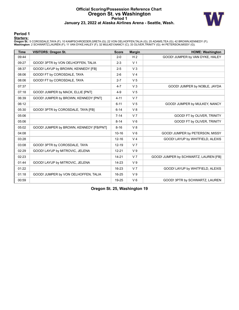# **Official Scoring/Possession Reference Chart Oregon St. vs Washington Period 1 January 23, 2022 at Alaska Airlines Arena - Seattle, Wash.**



### **Period 1**

<mark>Starters:</mark><br>Oregon St.: 5 COROSDALE,TAYA (F); 10 KAMPSCHROEDER,GRETA (G); 22 VON OELHOFFEN,TALIA (G); 25 ADAMS,TEA (G); 42 BROWN,KENNEDY (F);<br>**Washington**: 2 SCHWARTZ,LAUREN (F); 11 VAN DYKE,HALEY (F); 32 MULKEY,NANCY (C);

| <b>Time</b> | <b>VISITORS: Oregon St.</b>             | <b>Score</b> | <b>Margin</b>  | <b>HOME: Washington</b>               |
|-------------|-----------------------------------------|--------------|----------------|---------------------------------------|
| 09:44       |                                         | $2 - 0$      | H <sub>2</sub> | GOOD! JUMPER by VAN DYKE, HALEY       |
| 09:27       | GOOD! 3PTR by VON OELHOFFEN, TALIA      | $2 - 3$      | V <sub>1</sub> |                                       |
| 08:37       | GOOD! LAYUP by BROWN, KENNEDY [FB]      | $2 - 5$      | V <sub>3</sub> |                                       |
| 08:06       | GOOD! FT by COROSDALE, TAYA             | $2-6$        | V <sub>4</sub> |                                       |
| 08:06       | GOOD! FT by COROSDALE, TAYA             | $2 - 7$      | V <sub>5</sub> |                                       |
| 07:37       |                                         | $4 - 7$      | V <sub>3</sub> | GOOD! JUMPER by NOBLE, JAYDA          |
| 07:18       | GOOD! JUMPER by MACK, ELLIE [PNT]       | $4 - 9$      | V <sub>5</sub> |                                       |
| 06:39       | GOOD! JUMPER by BROWN, KENNEDY [PNT]    | $4 - 11$     | V <sub>7</sub> |                                       |
| 06:12       |                                         | $6 - 11$     | V <sub>5</sub> | GOOD! JUMPER by MULKEY, NANCY         |
| 05:30       | GOOD! 3PTR by COROSDALE, TAYA [FB]      | $6 - 14$     | V8             |                                       |
| 05:06       |                                         | $7 - 14$     | V <sub>7</sub> | GOOD! FT by OLIVER, TRINITY           |
| 05:06       |                                         | $8 - 14$     | $V_6$          | GOOD! FT by OLIVER, TRINITY           |
| 05:02       | GOOD! JUMPER by BROWN, KENNEDY [FB/PNT] | $8 - 16$     | V <sub>8</sub> |                                       |
| 04:08       |                                         | $10 - 16$    | $V_6$          | GOOD! JUMPER by PETERSON, MISSY       |
| 03:28       |                                         | $12 - 16$    | V <sub>4</sub> | GOOD! LAYUP by WHITFIELD, ALEXIS      |
| 03:08       | GOOD! 3PTR by COROSDALE, TAYA           | $12 - 19$    | V <sub>7</sub> |                                       |
| 02:29       | GOOD! LAYUP by MITROVIC, JELENA         | $12 - 21$    | V <sub>9</sub> |                                       |
| 02:23       |                                         | $14 - 21$    | V <sub>7</sub> | GOOD! JUMPER by SCHWARTZ, LAUREN [FB] |
| 01:44       | GOOD! LAYUP by MITROVIC, JELENA         | $14 - 23$    | V <sub>9</sub> |                                       |
| 01:22       |                                         | 16-23        | V <sub>7</sub> | GOOD! LAYUP by WHITFIELD, ALEXIS      |
| 01:18       | GOOD! JUMPER by VON OELHOFFEN, TALIA    | $16 - 25$    | V <sub>9</sub> |                                       |
| 00:59       |                                         | 19-25        | $V_6$          | GOOD! 3PTR by SCHWARTZ, LAUREN        |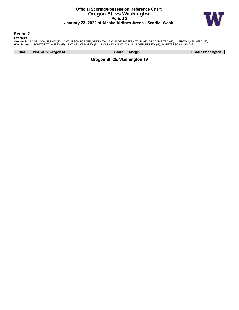# **Official Scoring/Possession Reference Chart Oregon St. vs Washington Period 2 January 23, 2022 at Alaska Airlines Arena - Seattle, Wash.**



**Period 2**

<mark>Starters:</mark><br>Oregon St.: 5 COROSDALE,TAYA (F); 10 KAMPSCHROEDER,GRETA (G); 22 VON OELHOFFEN,TALIA (G); 25 ADAMS,TEA (G); 42 BROWN,KENNEDY (F);<br>**Washington**: 2 SCHWARTZ,LAUREN (F); 11 VAN DYKE,HALEY (F); 32 MULKEY,NANCY (C);

**Time VISITORS: Oregon St. Score Margin HOME: Washington**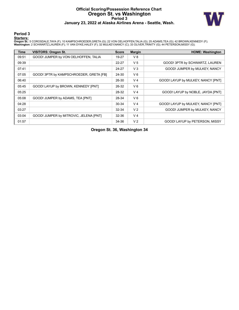# **Official Scoring/Possession Reference Chart Oregon St. vs Washington Period 3 January 23, 2022 at Alaska Airlines Arena - Seattle, Wash.**



### **Period 3**

<mark>Starters:</mark><br>Oregon St.: 5 COROSDALE,TAYA (F); 10 KAMPSCHROEDER,GRETA (G); 22 VON OELHOFFEN,TALIA (G); 25 ADAMS,TEA (G); 42 BROWN,KENNEDY (F);<br>**Washington**: 2 SCHWARTZ,LAUREN (F); 11 VAN DYKE,HALEY (F); 32 MULKEY,NANCY (C);

| <b>Time</b> | <b>VISITORS: Oregon St.</b>             | <b>Score</b> | <b>Margin</b>  | <b>HOME: Washington</b>            |
|-------------|-----------------------------------------|--------------|----------------|------------------------------------|
| 09:51       | GOOD! JUMPER by VON OELHOFFEN, TALIA    | 19-27        | V8             |                                    |
| 09:39       |                                         | 22-27        | V <sub>5</sub> | GOOD! 3PTR by SCHWARTZ, LAUREN     |
| 07:41       |                                         | 24-27        | V <sub>3</sub> | GOOD! JUMPER by MULKEY, NANCY      |
| 07:05       | GOOD! 3PTR by KAMPSCHROEDER, GRETA [FB] | 24-30        | $V_6$          |                                    |
| 06:40       |                                         | 26-30        | V <sub>4</sub> | GOOD! LAYUP by MULKEY, NANCY [PNT] |
| 05:45       | GOOD! LAYUP by BROWN, KENNEDY [PNT]     | 26-32        | $V_6$          |                                    |
| 05:25       |                                         | 28-32        | V <sub>4</sub> | GOOD! LAYUP by NOBLE, JAYDA [PNT]  |
| 05:08       | GOOD! JUMPER by ADAMS, TEA [PNT]        | 28-34        | $V_6$          |                                    |
| 04:28       |                                         | 30-34        | V <sub>4</sub> | GOOD! LAYUP by MULKEY, NANCY [PNT] |
| 03:27       |                                         | $32 - 34$    | V <sub>2</sub> | GOOD! JUMPER by MULKEY, NANCY      |
| 03:04       | GOOD! JUMPER by MITROVIC, JELENA [PNT]  | $32 - 36$    | V <sub>4</sub> |                                    |
| 01:57       |                                         | 34-36        | V <sub>2</sub> | GOOD! LAYUP by PETERSON, MISSY     |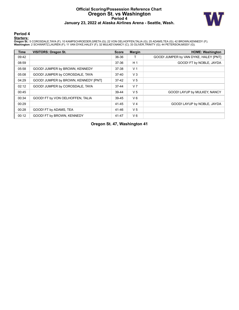# **Official Scoring/Possession Reference Chart Oregon St. vs Washington Period 4 January 23, 2022 at Alaska Airlines Arena - Seattle, Wash.**



### **Period 4**

<mark>Starters:</mark><br>Oregon St.: 5 COROSDALE,TAYA (F); 10 KAMPSCHROEDER,GRETA (G); 22 VON OELHOFFEN,TALIA (G); 25 ADAMS,TEA (G); 42 BROWN,KENNEDY (F);<br>**Washington**: 2 SCHWARTZ,LAUREN (F); 11 VAN DYKE,HALEY (F); 32 MULKEY,NANCY (C);

| <b>Time</b> | <b>VISITORS: Oregon St.</b>          | <b>Score</b> | <b>Margin</b>  | <b>HOME: Washington</b>               |
|-------------|--------------------------------------|--------------|----------------|---------------------------------------|
| 09:42       |                                      | 36-36        |                | GOOD! JUMPER by VAN DYKE, HALEY [PNT] |
| 08:59       |                                      | 37-36        | H <sub>1</sub> | GOOD! FT by NOBLE, JAYDA              |
| 05:58       | GOOD! JUMPER by BROWN, KENNEDY       | 37-38        | V <sub>1</sub> |                                       |
| 05:08       | GOOD! JUMPER by COROSDALE, TAYA      | $37-40$      | $V_3$          |                                       |
| 04:29       | GOOD! JUMPER by BROWN, KENNEDY [PNT] | $37-42$      | V <sub>5</sub> |                                       |
| 02:12       | GOOD! JUMPER by COROSDALE, TAYA      | $37 - 44$    | V <sub>7</sub> |                                       |
| 00:45       |                                      | 39-44        | V <sub>5</sub> | GOOD! LAYUP by MULKEY, NANCY          |
| 00:34       | GOOD! FT by VON OELHOFFEN, TALIA     | 39-45        | $V_6$          |                                       |
| 00:29       |                                      | 41-45        | V <sub>4</sub> | GOOD! LAYUP by NOBLE, JAYDA           |
| 00:28       | GOOD! FT by ADAMS, TEA               | 41-46        | V <sub>5</sub> |                                       |
| 00:12       | GOOD! FT by BROWN, KENNEDY           | 41-47        | $V_6$          |                                       |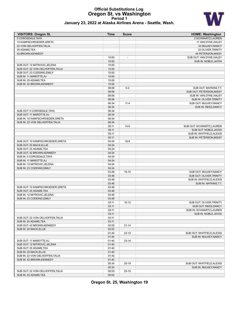# **Official Substitutions Log Oregon St. vs Washington Period 1**



| January 23, 2022 at Alaska Airlines Arena - Seattle, Wash. |
|------------------------------------------------------------|
|------------------------------------------------------------|

| <b>VISITORS: Oregon St.</b>      | Time  | <b>Score</b>   | <b>HOME: Washington</b>                            |
|----------------------------------|-------|----------------|----------------------------------------------------|
| 5 COROSDALE, TAYA                |       |                | 2 SCHWARTZ.LAUREN                                  |
| 10 KAMPSCHROEDER, GRETA          |       |                | 11 VAN DYKE, HALEY                                 |
| 22 VON OELHOFFEN, TALIA          |       |                | 32 MULKEY, NANCY                                   |
| 25 ADAMS, TEA                    |       |                | 33 OLIVER, TRINITY                                 |
| 42 BROWN, KENNEDY                |       |                | 44 PETERSON, MISSY                                 |
|                                  | 10:00 | $\overline{a}$ | SUB OUT: VAN DYKE, HALEY                           |
|                                  | 10:00 |                | SUB IN: NOBLE, JAYDA                               |
| SUB OUT: 12 MITROVIC, JELENA     | 10:00 |                |                                                    |
| SUB OUT: 22 VON OELHOFFEN, TALIA | 10:00 |                |                                                    |
| SUB OUT: 23 CODDING, EMILY       | 10:00 |                |                                                    |
| SUB IN: 11 MAROTTE, AJ           | 10:00 |                |                                                    |
| SUB IN: 25 ADAMS, TEA            | 10:00 |                |                                                    |
| SUB IN: 42 BROWN.KENNEDY         | 10:00 |                |                                                    |
|                                  | 08:06 | $5-2$          | SUB OUT: WATKINS, T.T.                             |
|                                  | 08:06 |                | SUB OUT: PETERSON, MISSY                           |
|                                  | 08:06 |                | SUB IN: VAN DYKE, HALEY                            |
|                                  | 08:06 |                | SUB IN: OLIVER, TRINITY                            |
|                                  | 06:34 | $11 - 4$       | SUB OUT: MULKEY, NANCY                             |
|                                  | 06:34 |                | SUB IN: REES, DARCY                                |
| SUB OUT: 5 COROSDALE, TAYA       | 06:34 |                |                                                    |
| SUB OUT: 11 MAROTTE.AJ           | 06:34 |                |                                                    |
| SUB IN: 10 KAMPSCHROEDER, GRETA  | 06:34 |                |                                                    |
| SUB IN: 22 VON OELHOFFEN, TALIA  | 06:34 |                |                                                    |
|                                  | 05:11 | $14-6$         | SUB OUT: SCHWARTZ, LAUREN                          |
|                                  | 05:11 |                | SUB OUT: NOBLE, JAYDA                              |
|                                  | 05:11 |                | SUB IN: WHITFIELD, ALEXIS                          |
|                                  | 05:11 |                | SUB IN: PETERSON, MISSY                            |
| SUB OUT: 10 KAMPSCHROEDER, GRETA | 04:24 | $16-8$         |                                                    |
| SUB OUT: 20 MACK, ELLIE          | 04:24 |                |                                                    |
| SUB OUT: 25 ADAMS, TEA           | 04:24 |                |                                                    |
| SUB OUT: 42 BROWN, KENNEDY       | 04:24 |                |                                                    |
| SUB IN: 5 COROSDALE, TAYA        | 04:24 |                |                                                    |
| SUB IN: 11 MAROTTE, AJ           | 04:24 |                |                                                    |
|                                  | 04:24 |                |                                                    |
| SUB IN: 12 MITROVIC, JELENA      | 04:24 |                |                                                    |
| SUB IN: 23 CODDING, EMILY        | 03:48 | $16-10$        |                                                    |
|                                  | 03:48 |                | SUB OUT: MULKEY, NANCY                             |
|                                  | 03:48 |                | SUB OUT: OLIVER, TRINITY                           |
|                                  | 03:48 |                | SUB IN: WHITFIELD, ALEXIS<br>SUB IN: WATKINS, T.T. |
| SUB OUT: 10 KAMPSCHROEDER, GRETA | 03:48 |                |                                                    |
|                                  | 03:48 |                |                                                    |
| SUB OUT: 25 ADAMS, TEA           |       |                |                                                    |
| SUB IN: 12 MITROVIC, JELENA      | 03:48 |                |                                                    |
| SUB IN: 23 CODDING, EMILY        | 03:48 |                |                                                    |
|                                  | 03:11 | 16-12          | SUB OUT: OLIVER, TRINITY                           |
|                                  | 03:11 |                | SUB OUT: REES, DARCY                               |
|                                  | 03:11 |                | SUB IN: SCHWARTZ, LAUREN                           |
|                                  | 03:11 |                | SUB IN: NOBLE, JAYDA                               |
| SUB OUT: 22 VON OELHOFFEN, TALIA | 03:11 |                |                                                    |
| SUB IN: 25 ADAMS, TEA            | 03:11 |                |                                                    |
| SUB OUT: 42 BROWN, KENNEDY       | 02:02 | 21-14          |                                                    |
| SUB IN: 20 MACK, ELLIE           | 02:02 |                |                                                    |
|                                  | 01:44 | $23 - 14$      | SUB OUT: WHITFIELD, ALEXIS                         |
|                                  | 01:44 |                | SUB IN: MULKEY, NANCY                              |
| SUB OUT: 11 MAROTTE, AJ          | 01:40 | 23-14          |                                                    |
| SUB OUT: 12 MITROVIC, JELENA     | 01:40 |                |                                                    |
| SUB OUT: 25 ADAMS, TEA           | 01:40 |                |                                                    |
| SUB IN: 20 MACK, ELLIE           | 01:40 |                |                                                    |
| SUB IN: 22 VON OELHOFFEN, TALIA  | 01:40 |                |                                                    |
| SUB IN: 42 BROWN, KENNEDY        | 01:40 |                |                                                    |
|                                  | 00:34 | 25-19          | SUB OUT: WHITFIELD, ALEXIS                         |
|                                  | 00:34 |                | SUB IN: MULKEY, NANCY                              |
| SUB OUT: 22 VON OELHOFFEN, TALIA | 00:03 | 25-19          |                                                    |
| SUB IN: 25 ADAMS, TEA            | 00:03 |                |                                                    |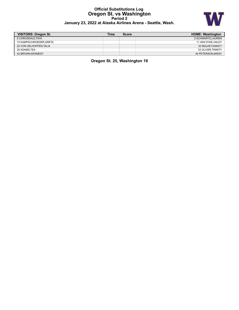# **Official Substitutions Log Oregon St. vs Washington Period 2 January 23, 2022 at Alaska Airlines Arena - Seattle, Wash.**



| VISITORS: Oregon St.   | Time | <b>Score</b> | <b>HOME: Washington</b> |
|------------------------|------|--------------|-------------------------|
| 5 COROSDALE TAYA       |      |              | 2 SCHWARTZ.LAUREN       |
| 10 KAMPSCHROEDER.GRETA |      |              | 11 VAN DYKE.HALEY       |
| 22 VON OELHOFFEN.TALIA |      |              | 32 MULKEY.NANCY         |
| 25 ADAMS.TEA           |      |              | 33 OLIVER.TRINITY       |
| 42 BROWN.KENNEDY       |      |              | 44 PETERSON.MISSY       |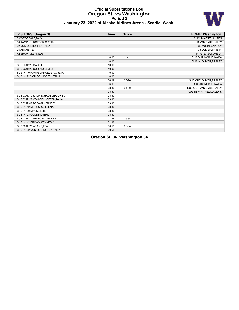### **Official Substitutions Log Oregon St. vs Washington Period 3 January 23, 2022 at Alaska Airlines Arena - Seattle, Wash.**



| <b>VISITORS: Oregon St.</b>      | <b>Time</b> | <b>Score</b>             | <b>HOME: Washington</b>   |
|----------------------------------|-------------|--------------------------|---------------------------|
| 5 COROSDALE.TAYA                 |             |                          | 2 SCHWARTZ, LAUREN        |
| 10 KAMPSCHROEDER, GRETA          |             |                          | 11 VAN DYKE, HALEY        |
| 22 VON OELHOFFEN, TALIA          |             |                          | 32 MULKEY, NANCY          |
| 25 ADAMS.TEA                     |             |                          | 33 OLIVER, TRINITY        |
| 42 BROWN, KENNEDY                |             |                          | 44 PETERSON, MISSY        |
|                                  | 10:00       | $\overline{\phantom{a}}$ | SUB OUT: NOBLE, JAYDA     |
|                                  | 10:00       |                          | SUB IN: OLIVER, TRINITY   |
| SUB OUT: 20 MACK.ELLIE           | 10:00       |                          |                           |
| SUB OUT: 23 CODDING, EMILY       | 10:00       |                          |                           |
| SUB IN: 10 KAMPSCHROEDER, GRETA  | 10:00       |                          |                           |
| SUB IN: 22 VON OELHOFFEN.TALIA   | 10:00       |                          |                           |
|                                  | 06:09       | $30 - 26$                | SUB OUT: OLIVER, TRINITY  |
|                                  | 06:09       |                          | SUB IN: NOBLE, JAYDA      |
|                                  | 03:30       | 34-30                    | SUB OUT: VAN DYKE, HALEY  |
|                                  | 03:30       |                          | SUB IN: WHITFIELD, ALEXIS |
| SUB OUT: 10 KAMPSCHROEDER, GRETA | 03:30       |                          |                           |
| SUB OUT: 22 VON OELHOFFEN, TALIA | 03:30       |                          |                           |
| SUB OUT: 42 BROWN.KENNEDY        | 03:30       |                          |                           |
| SUB IN: 12 MITROVIC, JELENA      | 03:30       |                          |                           |
| SUB IN: 20 MACK, ELLIE           | 03:30       |                          |                           |
| SUB IN: 23 CODDING.EMILY         | 03:30       |                          |                           |
| SUB OUT: 12 MITROVIC, JELENA     | 01:38       | 36-34                    |                           |
| SUB IN: 42 BROWN, KENNEDY        | 01:38       |                          |                           |
| SUB OUT: 25 ADAMS, TEA           | 00:58       | 36-34                    |                           |
| SUB IN: 22 VON OELHOFFEN, TALIA  | 00:58       |                          |                           |